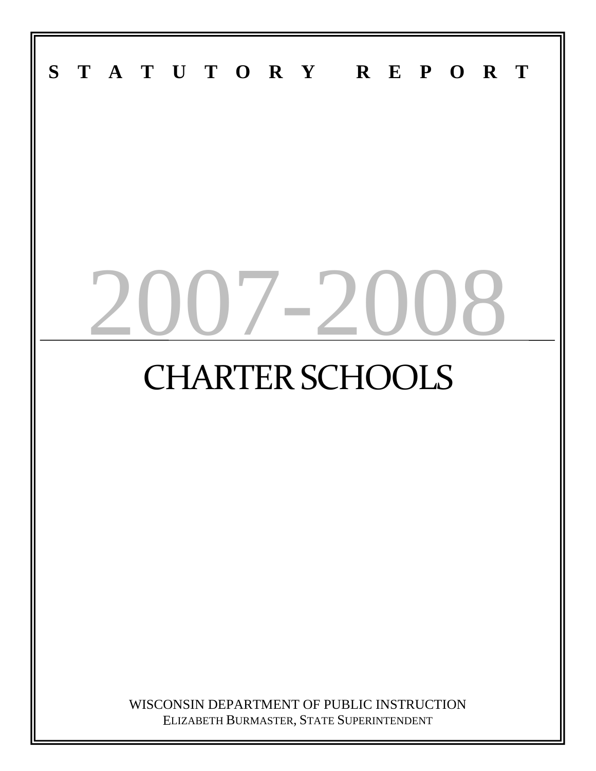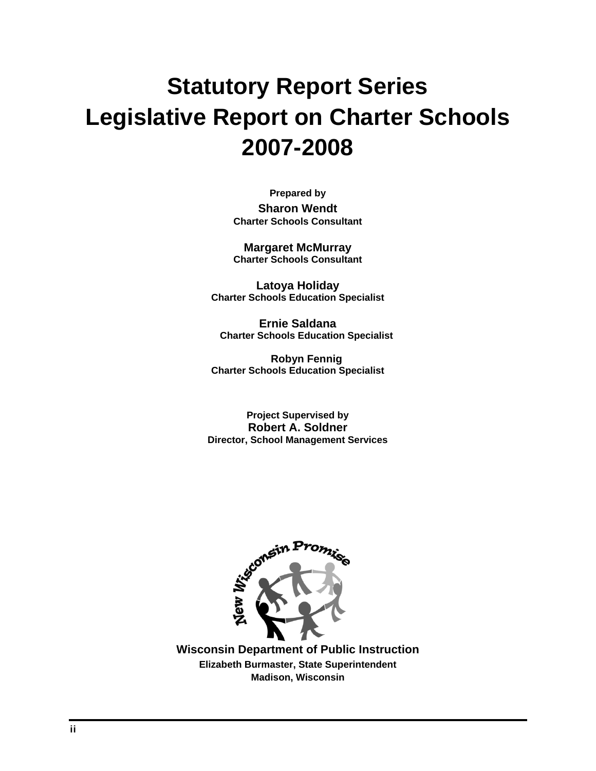# **Statutory Report Series Legislative Report on Charter Schools 2007-2008**

**Prepared by Sharon Wendt Charter Schools Consultant** 

**Margaret McMurray Charter Schools Consultant** 

**Latoya Holiday Charter Schools Education Specialist** 

**Ernie Saldana Charter Schools Education Specialist** 

**Robyn Fennig Charter Schools Education Specialist** 

**Project Supervised by Robert A. Soldner Director, School Management Services** 



**Wisconsin Department of Public Instruction Elizabeth Burmaster, State Superintendent Madison, Wisconsin**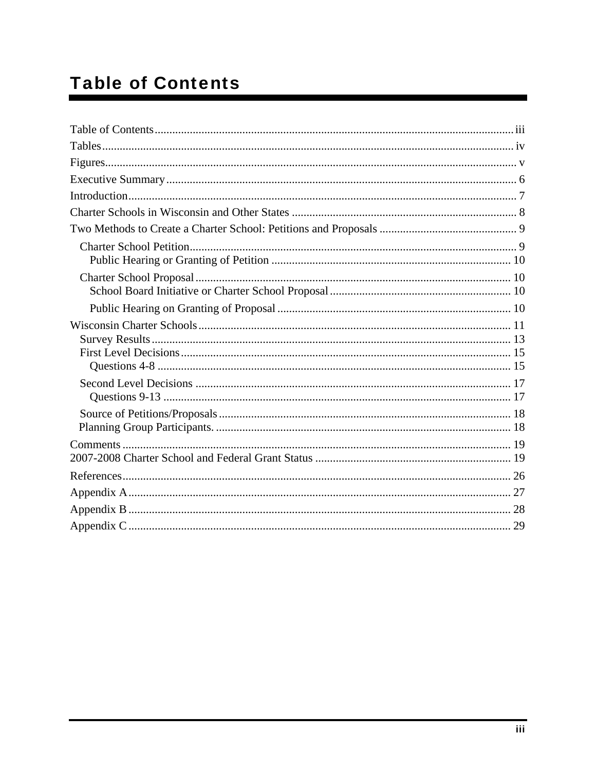## **Table of Contents**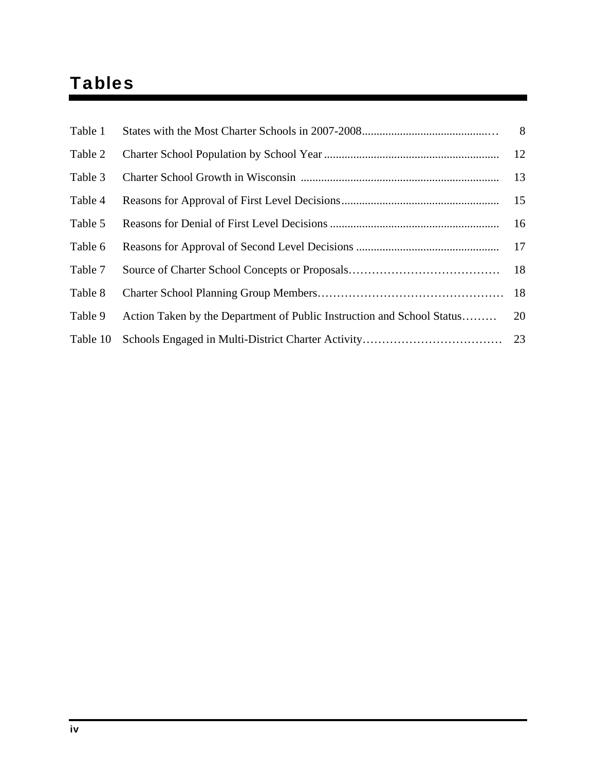## Tables

| Table 1  |                                                                        | 8  |
|----------|------------------------------------------------------------------------|----|
| Table 2  |                                                                        |    |
| Table 3  |                                                                        | 13 |
| Table 4  |                                                                        |    |
| Table 5  |                                                                        |    |
| Table 6  |                                                                        |    |
| Table 7  |                                                                        |    |
| Table 8  |                                                                        |    |
| Table 9  | Action Taken by the Department of Public Instruction and School Status | 20 |
| Table 10 |                                                                        |    |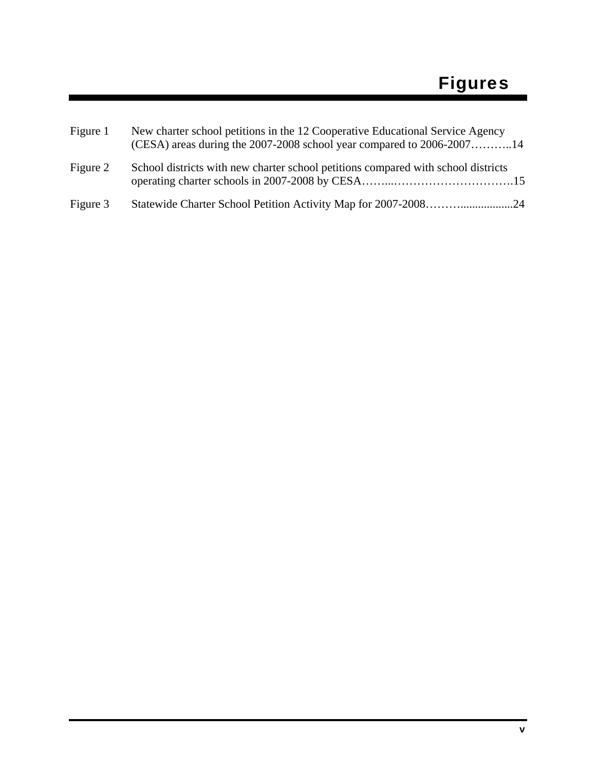| Figure 1 | New charter school petitions in the 12 Cooperative Educational Service Agency<br>(CESA) areas during the $2007-2008$ school year compared to $2006-2007$ 14 |
|----------|-------------------------------------------------------------------------------------------------------------------------------------------------------------|
| Figure 2 | School districts with new charter school petitions compared with school districts                                                                           |
| Figure 3 | Statewide Charter School Petition Activity Map for 2007-200824                                                                                              |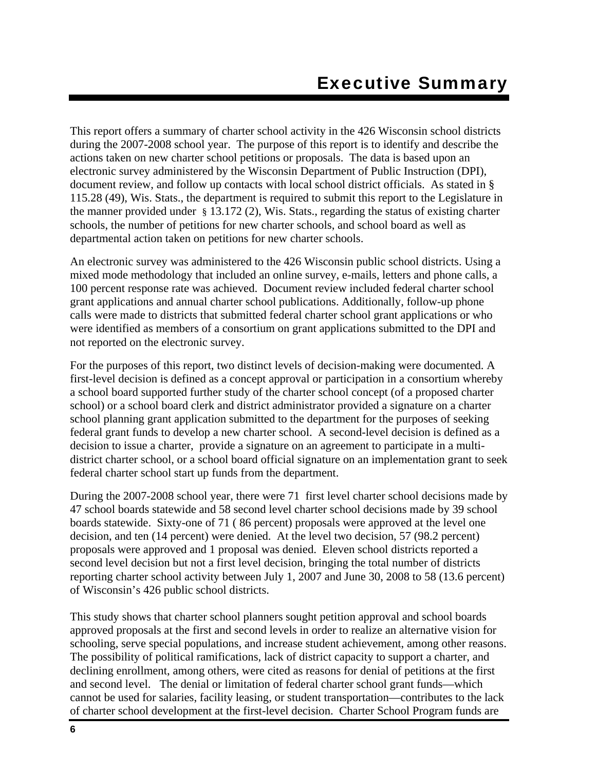This report offers a summary of charter school activity in the 426 Wisconsin school districts during the 2007-2008 school year. The purpose of this report is to identify and describe the actions taken on new charter school petitions or proposals. The data is based upon an electronic survey administered by the Wisconsin Department of Public Instruction (DPI), document review, and follow up contacts with local school district officials. As stated in § 115.28 (49), Wis. Stats., the department is required to submit this report to the Legislature in the manner provided under § 13.172 (2), Wis. Stats., regarding the status of existing charter schools, the number of petitions for new charter schools, and school board as well as departmental action taken on petitions for new charter schools.

An electronic survey was administered to the 426 Wisconsin public school districts. Using a mixed mode methodology that included an online survey, e-mails, letters and phone calls, a 100 percent response rate was achieved. Document review included federal charter school grant applications and annual charter school publications. Additionally, follow-up phone calls were made to districts that submitted federal charter school grant applications or who were identified as members of a consortium on grant applications submitted to the DPI and not reported on the electronic survey.

For the purposes of this report, two distinct levels of decision-making were documented. A first-level decision is defined as a concept approval or participation in a consortium whereby a school board supported further study of the charter school concept (of a proposed charter school) or a school board clerk and district administrator provided a signature on a charter school planning grant application submitted to the department for the purposes of seeking federal grant funds to develop a new charter school. A second-level decision is defined as a decision to issue a charter, provide a signature on an agreement to participate in a multidistrict charter school, or a school board official signature on an implementation grant to seek federal charter school start up funds from the department.

During the 2007-2008 school year, there were 71 first level charter school decisions made by 47 school boards statewide and 58 second level charter school decisions made by 39 school boards statewide. Sixty-one of 71 ( 86 percent) proposals were approved at the level one decision, and ten (14 percent) were denied. At the level two decision, 57 (98.2 percent) proposals were approved and 1 proposal was denied. Eleven school districts reported a second level decision but not a first level decision, bringing the total number of districts reporting charter school activity between July 1, 2007 and June 30, 2008 to 58 (13.6 percent) of Wisconsin's 426 public school districts.

This study shows that charter school planners sought petition approval and school boards approved proposals at the first and second levels in order to realize an alternative vision for schooling, serve special populations, and increase student achievement, among other reasons. The possibility of political ramifications, lack of district capacity to support a charter, and declining enrollment, among others, were cited as reasons for denial of petitions at the first and second level. The denial or limitation of federal charter school grant funds—which cannot be used for salaries, facility leasing, or student transportation—contributes to the lack of charter school development at the first-level decision. Charter School Program funds are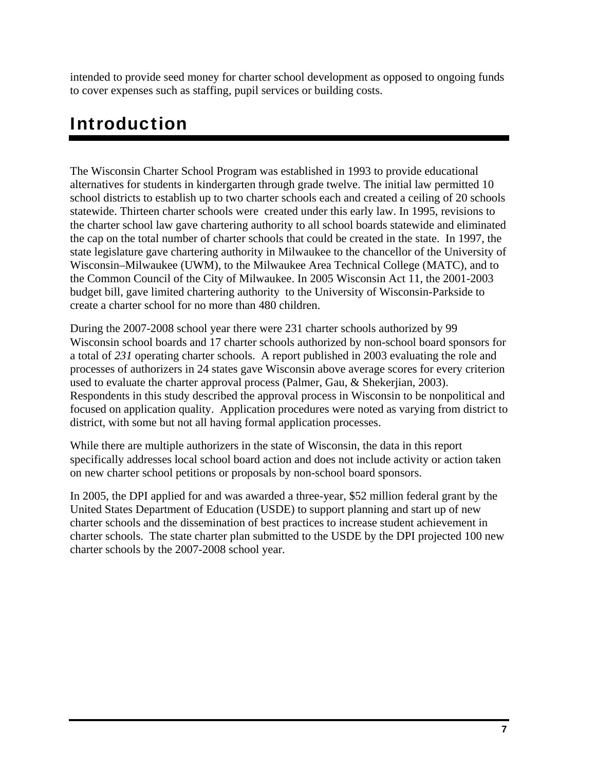intended to provide seed money for charter school development as opposed to ongoing funds to cover expenses such as staffing, pupil services or building costs.

## Introduction

The Wisconsin Charter School Program was established in 1993 to provide educational alternatives for students in kindergarten through grade twelve. The initial law permitted 10 school districts to establish up to two charter schools each and created a ceiling of 20 schools statewide. Thirteen charter schools were created under this early law. In 1995, revisions to the charter school law gave chartering authority to all school boards statewide and eliminated the cap on the total number of charter schools that could be created in the state. In 1997, the state legislature gave chartering authority in Milwaukee to the chancellor of the University of Wisconsin–Milwaukee (UWM), to the Milwaukee Area Technical College (MATC), and to the Common Council of the City of Milwaukee. In 2005 Wisconsin Act 11, the 2001-2003 budget bill, gave limited chartering authority to the University of Wisconsin-Parkside to create a charter school for no more than 480 children.

During the 2007-2008 school year there were 231 charter schools authorized by 99 Wisconsin school boards and 17 charter schools authorized by non-school board sponsors for a total of *231* operating charter schools. A report published in 2003 evaluating the role and processes of authorizers in 24 states gave Wisconsin above average scores for every criterion used to evaluate the charter approval process (Palmer, Gau, & Shekerjian, 2003). Respondents in this study described the approval process in Wisconsin to be nonpolitical and focused on application quality. Application procedures were noted as varying from district to district, with some but not all having formal application processes.

While there are multiple authorizers in the state of Wisconsin, the data in this report specifically addresses local school board action and does not include activity or action taken on new charter school petitions or proposals by non-school board sponsors.

In 2005, the DPI applied for and was awarded a three-year, \$52 million federal grant by the United States Department of Education (USDE) to support planning and start up of new charter schools and the dissemination of best practices to increase student achievement in charter schools. The state charter plan submitted to the USDE by the DPI projected 100 new charter schools by the 2007-2008 school year.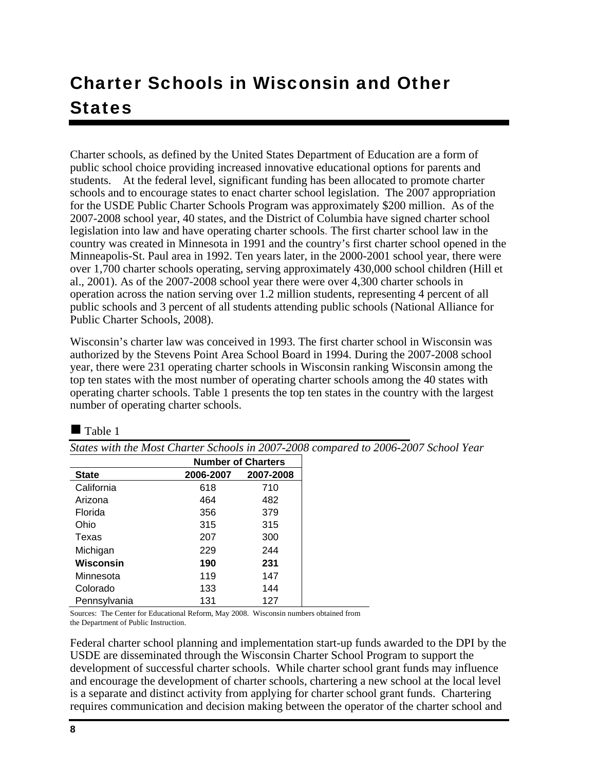## Charter Schools in Wisconsin and Other **States**

Charter schools, as defined by the United States Department of Education are a form of public school choice providing increased innovative educational options for parents and students. At the federal level, significant funding has been allocated to promote charter schools and to encourage states to enact charter school legislation. The 2007 appropriation for the USDE Public Charter Schools Program was approximately \$200 million. As of the 2007-2008 school year, 40 states, and the District of Columbia have signed charter school legislation into law and have operating charter schools. The first charter school law in the country was created in Minnesota in 1991 and the country's first charter school opened in the Minneapolis-St. Paul area in 1992. Ten years later, in the 2000-2001 school year, there were over 1,700 charter schools operating, serving approximately 430,000 school children (Hill et al., 2001). As of the 2007-2008 school year there were over 4,300 charter schools in operation across the nation serving over 1.2 million students, representing 4 percent of all public schools and 3 percent of all students attending public schools (National Alliance for Public Charter Schools, 2008).

Wisconsin's charter law was conceived in 1993. The first charter school in Wisconsin was authorized by the Stevens Point Area School Board in 1994. During the 2007-2008 school year, there were 231 operating charter schools in Wisconsin ranking Wisconsin among the top ten states with the most number of operating charter schools among the 40 states with operating charter schools. Table 1 presents the top ten states in the country with the largest number of operating charter schools.

 $\blacksquare$  Table 1

*States with the Most Charter Schools in 2007-2008 compared to 2006-2007 School Year* 

|              | <b>Number of Charters</b> |           |  |
|--------------|---------------------------|-----------|--|
| <b>State</b> | 2006-2007                 | 2007-2008 |  |
| California   | 618                       | 710       |  |
| Arizona      | 464                       | 482       |  |
| Florida      | 356                       | 379       |  |
| Ohio         | 315                       | 315       |  |
| Texas        | 207                       | 300       |  |
| Michigan     | 229                       | 244       |  |
| Wisconsin    | 190                       | 231       |  |
| Minnesota    | 119                       | 147       |  |
| Colorado     | 133                       | 144       |  |
| Pennsylvania | 131                       | 127       |  |

Sources: The Center for Educational Reform, May 2008. Wisconsin numbers obtained from the Department of Public Instruction.

Federal charter school planning and implementation start-up funds awarded to the DPI by the USDE are disseminated through the Wisconsin Charter School Program to support the development of successful charter schools. While charter school grant funds may influence and encourage the development of charter schools, chartering a new school at the local level is a separate and distinct activity from applying for charter school grant funds. Chartering requires communication and decision making between the operator of the charter school and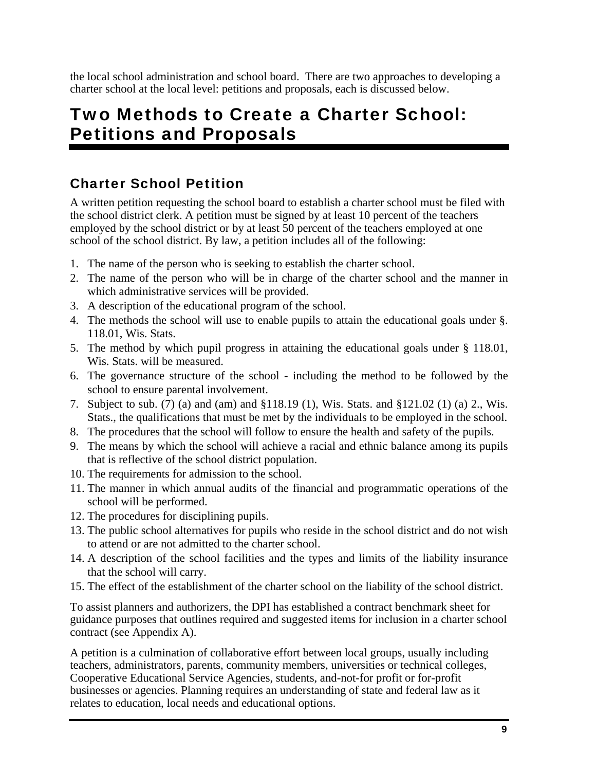the local school administration and school board. There are two approaches to developing a charter school at the local level: petitions and proposals, each is discussed below.

## Two Methods to Create a Charter School: Petitions and Proposals

## Charter School Petition

A written petition requesting the school board to establish a charter school must be filed with the school district clerk. A petition must be signed by at least 10 percent of the teachers employed by the school district or by at least 50 percent of the teachers employed at one school of the school district. By law, a petition includes all of the following:

- 1. The name of the person who is seeking to establish the charter school.
- 2. The name of the person who will be in charge of the charter school and the manner in which administrative services will be provided.
- 3. A description of the educational program of the school.
- 4. The methods the school will use to enable pupils to attain the educational goals under §. 118.01, Wis. Stats.
- 5. The method by which pupil progress in attaining the educational goals under § 118.01, Wis. Stats. will be measured.
- 6. The governance structure of the school including the method to be followed by the school to ensure parental involvement.
- 7. Subject to sub. (7) (a) and (am) and §118.19 (1), Wis. Stats. and §121.02 (1) (a) 2., Wis. Stats., the qualifications that must be met by the individuals to be employed in the school.
- 8. The procedures that the school will follow to ensure the health and safety of the pupils.
- 9. The means by which the school will achieve a racial and ethnic balance among its pupils that is reflective of the school district population.
- 10. The requirements for admission to the school.
- 11. The manner in which annual audits of the financial and programmatic operations of the school will be performed.
- 12. The procedures for disciplining pupils.
- 13. The public school alternatives for pupils who reside in the school district and do not wish to attend or are not admitted to the charter school.
- 14. A description of the school facilities and the types and limits of the liability insurance that the school will carry.
- 15. The effect of the establishment of the charter school on the liability of the school district.

To assist planners and authorizers, the DPI has established a contract benchmark sheet for guidance purposes that outlines required and suggested items for inclusion in a charter school contract (see Appendix A).

A petition is a culmination of collaborative effort between local groups, usually including teachers, administrators, parents, community members, universities or technical colleges, Cooperative Educational Service Agencies, students, and-not-for profit or for-profit businesses or agencies. Planning requires an understanding of state and federal law as it relates to education, local needs and educational options.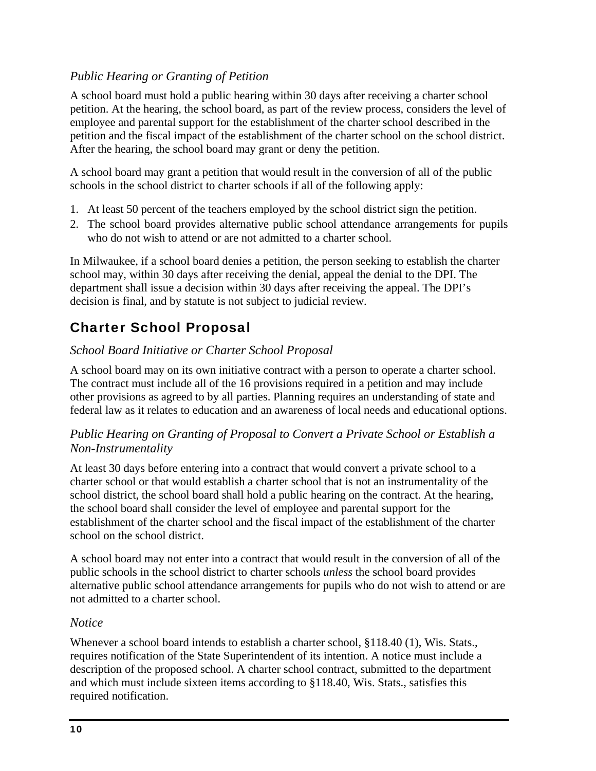#### *Public Hearing or Granting of Petition*

A school board must hold a public hearing within 30 days after receiving a charter school petition. At the hearing, the school board, as part of the review process, considers the level of employee and parental support for the establishment of the charter school described in the petition and the fiscal impact of the establishment of the charter school on the school district. After the hearing, the school board may grant or deny the petition.

A school board may grant a petition that would result in the conversion of all of the public schools in the school district to charter schools if all of the following apply:

- 1. At least 50 percent of the teachers employed by the school district sign the petition.
- 2. The school board provides alternative public school attendance arrangements for pupils who do not wish to attend or are not admitted to a charter school.

In Milwaukee, if a school board denies a petition, the person seeking to establish the charter school may, within 30 days after receiving the denial, appeal the denial to the DPI. The department shall issue a decision within 30 days after receiving the appeal. The DPI's decision is final, and by statute is not subject to judicial review.

## Charter School Proposal

#### *School Board Initiative or Charter School Proposal*

A school board may on its own initiative contract with a person to operate a charter school. The contract must include all of the 16 provisions required in a petition and may include other provisions as agreed to by all parties. Planning requires an understanding of state and federal law as it relates to education and an awareness of local needs and educational options.

#### *Public Hearing on Granting of Proposal to Convert a Private School or Establish a Non-Instrumentality*

At least 30 days before entering into a contract that would convert a private school to a charter school or that would establish a charter school that is not an instrumentality of the school district, the school board shall hold a public hearing on the contract. At the hearing, the school board shall consider the level of employee and parental support for the establishment of the charter school and the fiscal impact of the establishment of the charter school on the school district.

A school board may not enter into a contract that would result in the conversion of all of the public schools in the school district to charter schools *unless* the school board provides alternative public school attendance arrangements for pupils who do not wish to attend or are not admitted to a charter school.

#### *Notice*

Whenever a school board intends to establish a charter school, §118.40 (1), Wis. Stats., requires notification of the State Superintendent of its intention. A notice must include a description of the proposed school. A charter school contract, submitted to the department and which must include sixteen items according to §118.40, Wis. Stats., satisfies this required notification.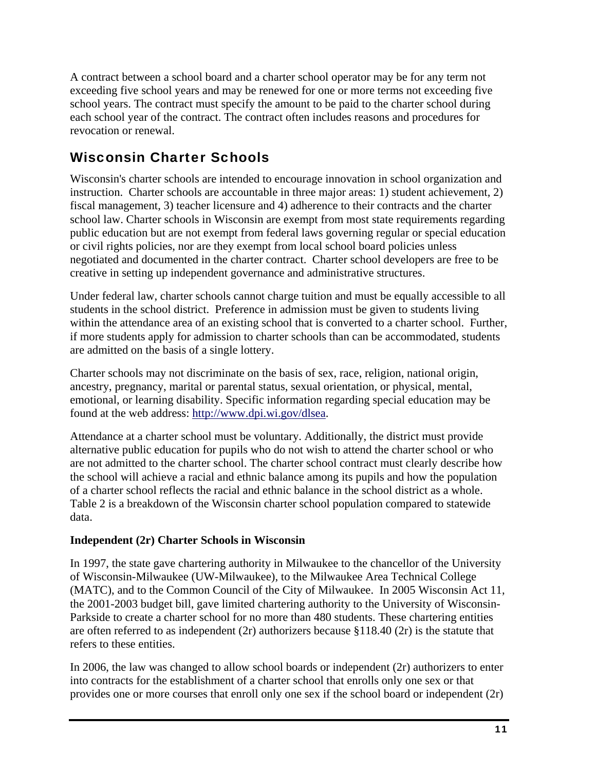A contract between a school board and a charter school operator may be for any term not exceeding five school years and may be renewed for one or more terms not exceeding five school years. The contract must specify the amount to be paid to the charter school during each school year of the contract. The contract often includes reasons and procedures for revocation or renewal.

## Wisconsin Charter Schools

Wisconsin's charter schools are intended to encourage innovation in school organization and instruction. Charter schools are accountable in three major areas: 1) student achievement, 2) fiscal management, 3) teacher licensure and 4) adherence to their contracts and the charter school law. Charter schools in Wisconsin are exempt from most state requirements regarding public education but are not exempt from federal laws governing regular or special education or civil rights policies, nor are they exempt from local school board policies unless negotiated and documented in the charter contract. Charter school developers are free to be creative in setting up independent governance and administrative structures.

Under federal law, charter schools cannot charge tuition and must be equally accessible to all students in the school district. Preference in admission must be given to students living within the attendance area of an existing school that is converted to a charter school. Further, if more students apply for admission to charter schools than can be accommodated, students are admitted on the basis of a single lottery.

Charter schools may not discriminate on the basis of sex, race, religion, national origin, ancestry, pregnancy, marital or parental status, sexual orientation, or physical, mental, emotional, or learning disability. Specific information regarding special education may be found at the web address: http://www.dpi.wi.gov/dlsea.

Attendance at a charter school must be voluntary. Additionally, the district must provide alternative public education for pupils who do not wish to attend the charter school or who are not admitted to the charter school. The charter school contract must clearly describe how the school will achieve a racial and ethnic balance among its pupils and how the population of a charter school reflects the racial and ethnic balance in the school district as a whole. Table 2 is a breakdown of the Wisconsin charter school population compared to statewide data.

#### **Independent (2r) Charter Schools in Wisconsin**

In 1997, the state gave chartering authority in Milwaukee to the chancellor of the University of Wisconsin-Milwaukee (UW-Milwaukee), to the Milwaukee Area Technical College (MATC), and to the Common Council of the City of Milwaukee. In 2005 Wisconsin Act 11, the 2001-2003 budget bill, gave limited chartering authority to the University of Wisconsin-Parkside to create a charter school for no more than 480 students. These chartering entities are often referred to as independent (2r) authorizers because §118.40 (2r) is the statute that refers to these entities.

In 2006, the law was changed to allow school boards or independent  $(2r)$  authorizers to enter into contracts for the establishment of a charter school that enrolls only one sex or that provides one or more courses that enroll only one sex if the school board or independent (2r)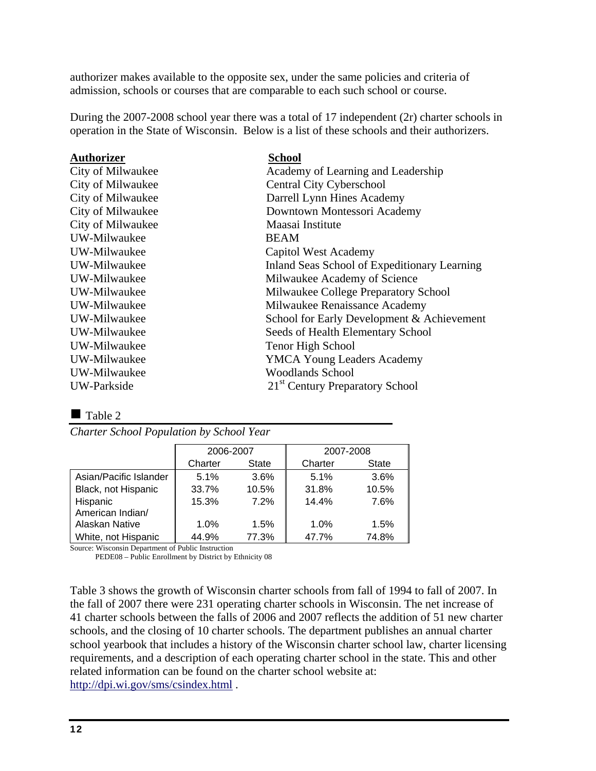authorizer makes available to the opposite sex, under the same policies and criteria of admission, schools or courses that are comparable to each such school or course.

During the 2007-2008 school year there was a total of 17 independent (2r) charter schools in operation in the State of Wisconsin. Below is a list of these schools and their authorizers.

| <b>Authorizer</b> | <b>School</b>                                |
|-------------------|----------------------------------------------|
| City of Milwaukee | Academy of Learning and Leadership           |
| City of Milwaukee | <b>Central City Cyberschool</b>              |
| City of Milwaukee | Darrell Lynn Hines Academy                   |
| City of Milwaukee | Downtown Montessori Academy                  |
| City of Milwaukee | Maasai Institute                             |
| UW-Milwaukee      | <b>BEAM</b>                                  |
| UW-Milwaukee      | Capitol West Academy                         |
| UW-Milwaukee      | Inland Seas School of Expeditionary Learning |
| UW-Milwaukee      | Milwaukee Academy of Science                 |
| UW-Milwaukee      | Milwaukee College Preparatory School         |
| UW-Milwaukee      | Milwaukee Renaissance Academy                |
| UW-Milwaukee      | School for Early Development & Achievement   |
| UW-Milwaukee      | Seeds of Health Elementary School            |
| UW-Milwaukee      | Tenor High School                            |
| UW-Milwaukee      | <b>YMCA Young Leaders Academy</b>            |
| UW-Milwaukee      | <b>Woodlands School</b>                      |
| UW-Parkside       | 21 <sup>st</sup> Century Preparatory School  |

Table 2

| Charter School Population by School Year |  |  |  |
|------------------------------------------|--|--|--|
|                                          |  |  |  |

|                        | 2006-2007 |              | 2007-2008 |              |
|------------------------|-----------|--------------|-----------|--------------|
|                        | Charter   | <b>State</b> | Charter   | <b>State</b> |
| Asian/Pacific Islander | 5.1%      | 3.6%         | 5.1%      | 3.6%         |
| Black, not Hispanic    | 33.7%     | 10.5%        | 31.8%     | 10.5%        |
| Hispanic               | 15.3%     | 7.2%         | 14.4%     | 7.6%         |
| American Indian/       |           |              |           |              |
| Alaskan Native         | 1.0%      | 1.5%         | 1.0%      | 1.5%         |
| White, not Hispanic    | 44.9%     | 77.3%        | 47.7%     | 74.8%        |

Source: Wisconsin Department of Public Instruction

PEDE08 – Public Enrollment by District by Ethnicity 08

Table 3 shows the growth of Wisconsin charter schools from fall of 1994 to fall of 2007. In the fall of 2007 there were 231 operating charter schools in Wisconsin. The net increase of 41 charter schools between the falls of 2006 and 2007 reflects the addition of 51 new charter schools, and the closing of 10 charter schools. The department publishes an annual charter school yearbook that includes a history of the Wisconsin charter school law, charter licensing requirements, and a description of each operating charter school in the state. This and other related information can be found on the charter school website at: http://dpi.wi.gov/sms/csindex.html .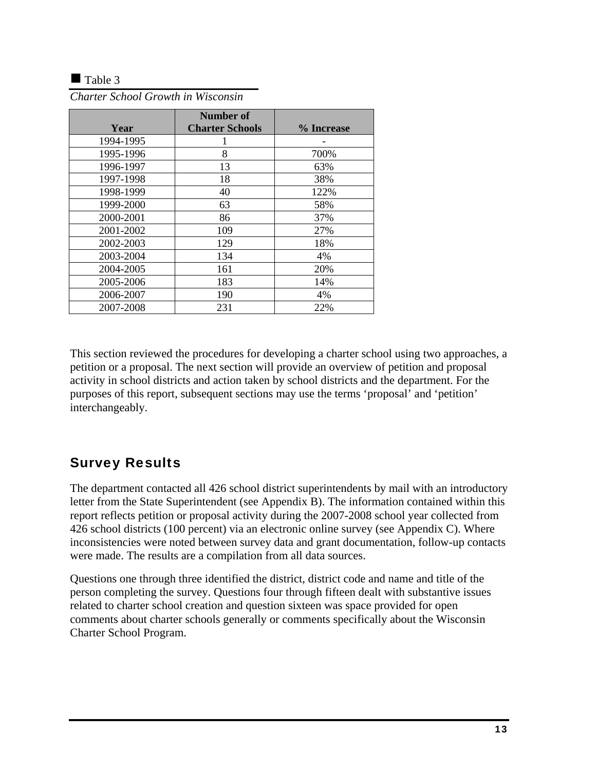#### $\blacksquare$  Table 3

|           | <b>Number of</b>       |            |
|-----------|------------------------|------------|
| Year      | <b>Charter Schools</b> | % Increase |
| 1994-1995 |                        |            |
| 1995-1996 | 8                      | 700%       |
| 1996-1997 | 13                     | 63%        |
| 1997-1998 | 18                     | 38%        |
| 1998-1999 | 40                     | 122%       |
| 1999-2000 | 63                     | 58%        |
| 2000-2001 | 86                     | 37%        |
| 2001-2002 | 109                    | 27%        |
| 2002-2003 | 129                    | 18%        |
| 2003-2004 | 134                    | 4%         |
| 2004-2005 | 161                    | 20%        |
| 2005-2006 | 183                    | 14%        |
| 2006-2007 | 190                    | 4%         |
| 2007-2008 | 231                    | 22%        |

*Charter School Growth in Wisconsin* 

This section reviewed the procedures for developing a charter school using two approaches, a petition or a proposal. The next section will provide an overview of petition and proposal activity in school districts and action taken by school districts and the department. For the purposes of this report, subsequent sections may use the terms 'proposal' and 'petition' interchangeably.

## Survey Results

The department contacted all 426 school district superintendents by mail with an introductory letter from the State Superintendent (see Appendix B). The information contained within this report reflects petition or proposal activity during the 2007-2008 school year collected from 426 school districts (100 percent) via an electronic online survey (see Appendix C). Where inconsistencies were noted between survey data and grant documentation, follow-up contacts were made. The results are a compilation from all data sources.

Questions one through three identified the district, district code and name and title of the person completing the survey. Questions four through fifteen dealt with substantive issues related to charter school creation and question sixteen was space provided for open comments about charter schools generally or comments specifically about the Wisconsin Charter School Program.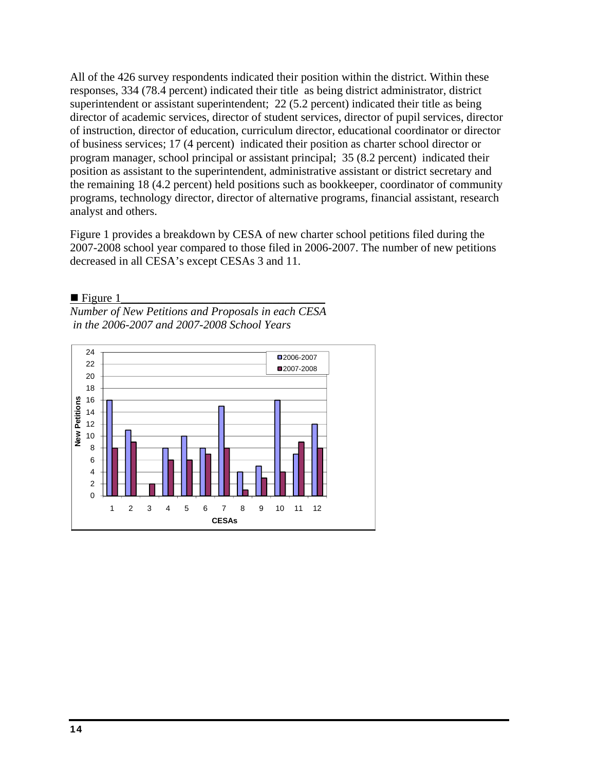All of the 426 survey respondents indicated their position within the district. Within these responses, 334 (78.4 percent) indicated their title as being district administrator, district superintendent or assistant superintendent; 22 (5.2 percent) indicated their title as being director of academic services, director of student services, director of pupil services, director of instruction, director of education, curriculum director, educational coordinator or director of business services; 17 (4 percent) indicated their position as charter school director or program manager, school principal or assistant principal; 35 (8.2 percent) indicated their position as assistant to the superintendent, administrative assistant or district secretary and the remaining 18 (4.2 percent) held positions such as bookkeeper, coordinator of community programs, technology director, director of alternative programs, financial assistant, research analyst and others.

Figure 1 provides a breakdown by CESA of new charter school petitions filed during the 2007-2008 school year compared to those filed in 2006-2007. The number of new petitions decreased in all CESA's except CESAs 3 and 11.

 $\blacksquare$  Figure 1 *Number of New Petitions and Proposals in each CESA* 



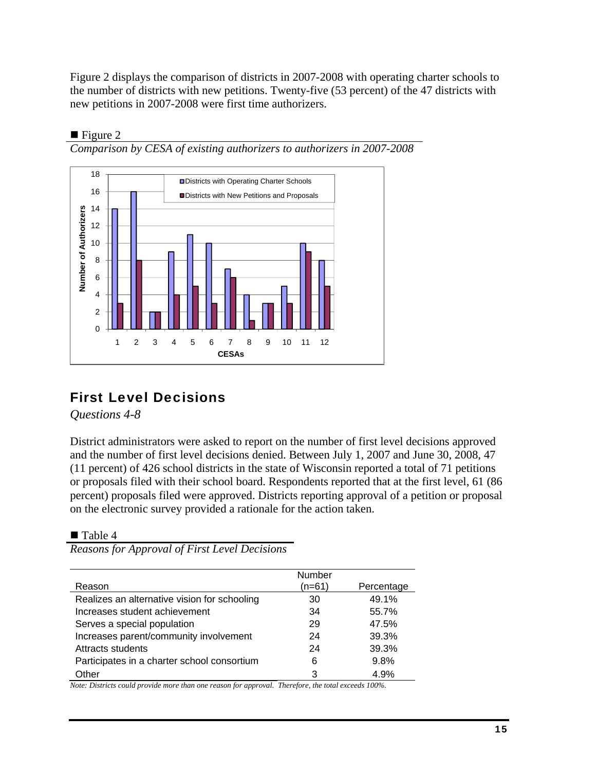Figure 2 displays the comparison of districts in 2007-2008 with operating charter schools to the number of districts with new petitions. Twenty-five (53 percent) of the 47 districts with new petitions in 2007-2008 were first time authorizers.



#### $\blacksquare$  Figure 2 *Comparison by CESA of existing authorizers to authorizers in 2007-2008*

## First Level Decisions

*Questions 4-8* 

District administrators were asked to report on the number of first level decisions approved and the number of first level decisions denied. Between July 1, 2007 and June 30, 2008, 47 (11 percent) of 426 school districts in the state of Wisconsin reported a total of 71 petitions or proposals filed with their school board. Respondents reported that at the first level, 61 (86 percent) proposals filed were approved. Districts reporting approval of a petition or proposal on the electronic survey provided a rationale for the action taken.

■ Table 4

Reason **Number** (n=61) Percentage  $ext{Realizes on alternative vision for scheduling}$  30  $49.49$ 

*Reasons for Approval of First Level Decisions* 

| Redizes all diterriging vision for scribbing | ບບ | 49. I 70 |
|----------------------------------------------|----|----------|
| Increases student achievement                | 34 | 55.7%    |
| Serves a special population                  | 29 | 47.5%    |
| Increases parent/community involvement       | 24 | 39.3%    |
| Attracts students                            | 24 | 39.3%    |
| Participates in a charter school consortium  | 6  | 9.8%     |
| Other                                        | 3  | 4.9%     |
|                                              |    |          |

*Note: Districts could provide more than one reason for approval. Therefore, the total exceeds 100%.*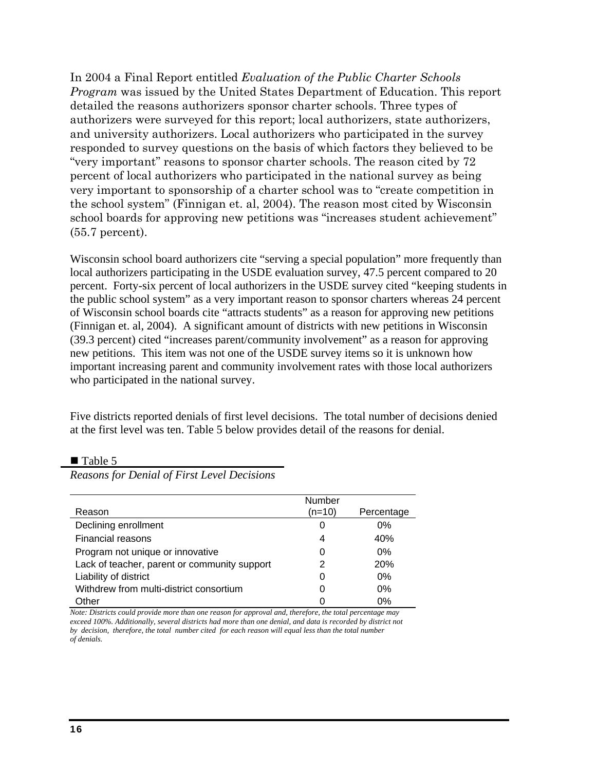In 2004 a Final Report entitled *Evaluation of the Public Charter Schools Program* was issued by the United States Department of Education. This report detailed the reasons authorizers sponsor charter schools. Three types of authorizers were surveyed for this report; local authorizers, state authorizers, and university authorizers. Local authorizers who participated in the survey responded to survey questions on the basis of which factors they believed to be "very important" reasons to sponsor charter schools. The reason cited by 72 percent of local authorizers who participated in the national survey as being very important to sponsorship of a charter school was to "create competition in the school system" (Finnigan et. al, 2004). The reason most cited by Wisconsin school boards for approving new petitions was "increases student achievement" (55.7 percent).

Wisconsin school board authorizers cite "serving a special population" more frequently than local authorizers participating in the USDE evaluation survey, 47.5 percent compared to 20 percent. Forty-six percent of local authorizers in the USDE survey cited "keeping students in the public school system" as a very important reason to sponsor charters whereas 24 percent of Wisconsin school boards cite "attracts students" as a reason for approving new petitions (Finnigan et. al, 2004). A significant amount of districts with new petitions in Wisconsin (39.3 percent) cited "increases parent/community involvement" as a reason for approving new petitions. This item was not one of the USDE survey items so it is unknown how important increasing parent and community involvement rates with those local authorizers who participated in the national survey.

Five districts reported denials of first level decisions. The total number of decisions denied at the first level was ten. Table 5 below provides detail of the reasons for denial.

|                                              | Number   |            |
|----------------------------------------------|----------|------------|
| Reason                                       | $(n=10)$ | Percentage |
| Declining enrollment                         | 0        | 0%         |
| <b>Financial reasons</b>                     | 4        | 40%        |
| Program not unique or innovative             | 0        | $0\%$      |
| Lack of teacher, parent or community support | 2        | <b>20%</b> |
| Liability of district                        | 0        | $0\%$      |
| Withdrew from multi-district consortium      | 0        | $0\%$      |
| Other                                        |          | 0%         |

■ Table 5

*Reasons for Denial of First Level Decisions* 

*Note: Districts could provide more than one reason for approval and, therefore, the total percentage may exceed 100%. Additionally, several districts had more than one denial, and data is recorded by district not by decision, therefore, the total number cited for each reason will equal less than the total number of denials.*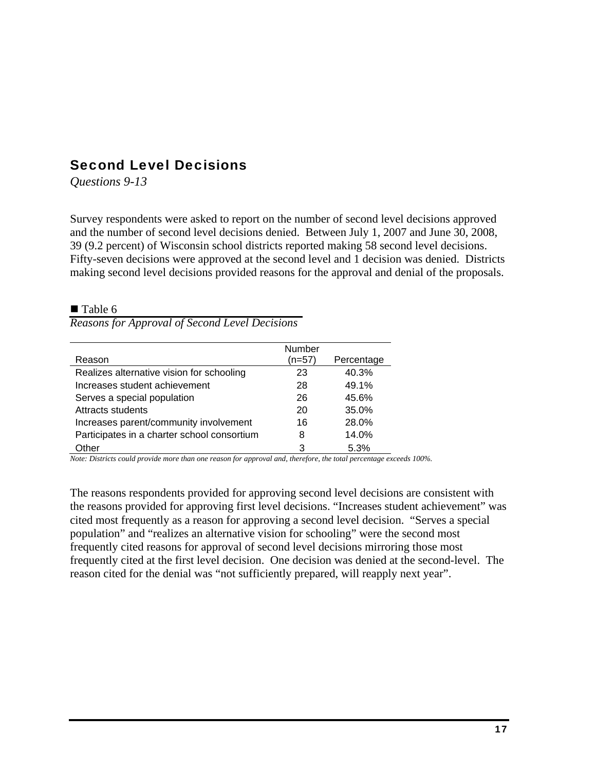### Second Level Decisions

*Questions 9-13* 

Survey respondents were asked to report on the number of second level decisions approved and the number of second level decisions denied. Between July 1, 2007 and June 30, 2008, 39 (9.2 percent) of Wisconsin school districts reported making 58 second level decisions. Fifty-seven decisions were approved at the second level and 1 decision was denied. Districts making second level decisions provided reasons for the approval and denial of the proposals.

#### ■ Table 6

*Reasons for Approval of Second Level Decisions* 

|                                             | Number |            |
|---------------------------------------------|--------|------------|
| Reason                                      | (n=57) | Percentage |
| Realizes alternative vision for schooling   | 23     | 40.3%      |
| Increases student achievement               | 28     | 49.1%      |
| Serves a special population                 | 26     | 45.6%      |
| <b>Attracts students</b>                    | 20     | 35.0%      |
| Increases parent/community involvement      | 16     | 28.0%      |
| Participates in a charter school consortium | 8      | 14.0%      |
| Other                                       | З      | 5.3%       |

*Note: Districts could provide more than one reason for approval and, therefore, the total percentage exceeds 100%.* 

The reasons respondents provided for approving second level decisions are consistent with the reasons provided for approving first level decisions. "Increases student achievement" was cited most frequently as a reason for approving a second level decision. "Serves a special population" and "realizes an alternative vision for schooling" were the second most frequently cited reasons for approval of second level decisions mirroring those most frequently cited at the first level decision. One decision was denied at the second-level. The reason cited for the denial was "not sufficiently prepared, will reapply next year".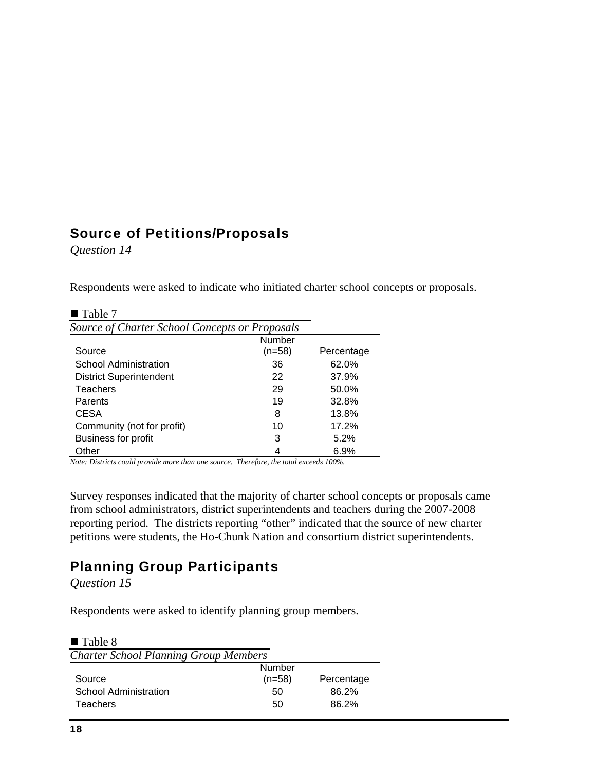#### Source of Petitions/Proposals

*Question 14* 

Respondents were asked to indicate who initiated charter school concepts or proposals.

| $\blacksquare$ Table 7                         |        |            |
|------------------------------------------------|--------|------------|
| Source of Charter School Concepts or Proposals |        |            |
|                                                | Number |            |
| Source                                         | (n=58) | Percentage |
| School Administration                          | 36     | 62.0%      |
| <b>District Superintendent</b>                 | 22     | 37.9%      |
| Teachers                                       | 29     | 50.0%      |
| Parents                                        | 19     | 32.8%      |
| <b>CESA</b>                                    | 8      | 13.8%      |
| Community (not for profit)                     | 10     | 17.2%      |
| <b>Business for profit</b>                     | 3      | 5.2%       |
| Other                                          | 4      | 6.9%       |

*Note: Districts could provide more than one source. Therefore, the total exceeds 100%.* 

Survey responses indicated that the majority of charter school concepts or proposals came from school administrators, district superintendents and teachers during the 2007-2008 reporting period. The districts reporting "other" indicated that the source of new charter petitions were students, the Ho-Chunk Nation and consortium district superintendents.

## Planning Group Participants

*Question 15* 

Respondents were asked to identify planning group members.

| Number |                                              |
|--------|----------------------------------------------|
| (n=58) | Percentage                                   |
| 50     | 86.2%                                        |
| 50     | 86.2%                                        |
|        | <b>Charter School Planning Group Members</b> |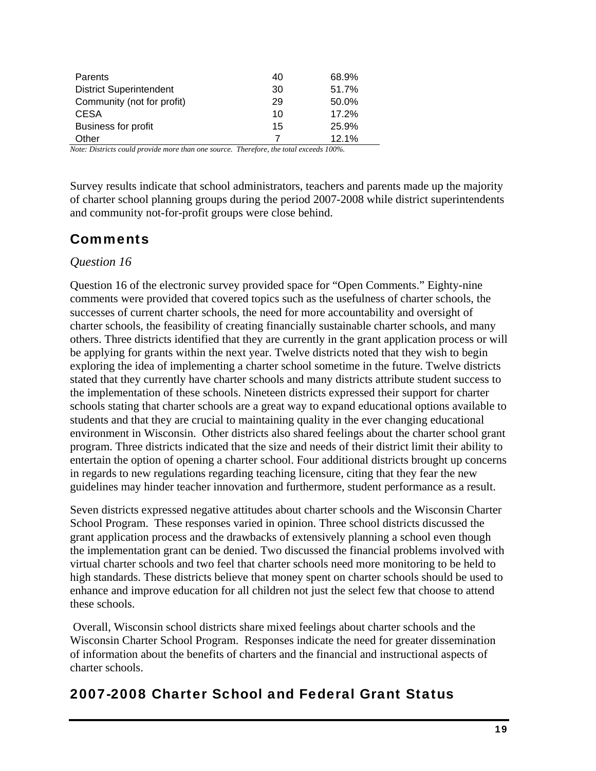| Parents                                                                                                                                                                                                           | 40 | 68.9% |
|-------------------------------------------------------------------------------------------------------------------------------------------------------------------------------------------------------------------|----|-------|
| <b>District Superintendent</b>                                                                                                                                                                                    | 30 | 51.7% |
| Community (not for profit)                                                                                                                                                                                        | 29 | 50.0% |
| <b>CESA</b>                                                                                                                                                                                                       | 10 | 17.2% |
| Business for profit                                                                                                                                                                                               | 15 | 25.9% |
| Other                                                                                                                                                                                                             |    | 12.1% |
| $\mathbf{M}$ , $\mathbf{D}^*$ , $\mathbf{M}$ , $\mathbf{M}$ , $\mathbf{M}$ , $\mathbf{M}$ , $\mathbf{M}$ , $\mathbf{M}$ , $\mathbf{M}$ , $\mathbf{M}$ , $\mathbf{M}$ , $\mathbf{M}$ , $\mathbf{M}$ , $\mathbf{M}$ |    |       |

*Note: Districts could provide more than one source. Therefore, the total exceeds 100%.* 

Survey results indicate that school administrators, teachers and parents made up the majority of charter school planning groups during the period 2007-2008 while district superintendents and community not-for-profit groups were close behind.

### **Comments**

#### *Question 16*

Question 16 of the electronic survey provided space for "Open Comments." Eighty-nine comments were provided that covered topics such as the usefulness of charter schools, the successes of current charter schools, the need for more accountability and oversight of charter schools, the feasibility of creating financially sustainable charter schools, and many others. Three districts identified that they are currently in the grant application process or will be applying for grants within the next year. Twelve districts noted that they wish to begin exploring the idea of implementing a charter school sometime in the future. Twelve districts stated that they currently have charter schools and many districts attribute student success to the implementation of these schools. Nineteen districts expressed their support for charter schools stating that charter schools are a great way to expand educational options available to students and that they are crucial to maintaining quality in the ever changing educational environment in Wisconsin. Other districts also shared feelings about the charter school grant program. Three districts indicated that the size and needs of their district limit their ability to entertain the option of opening a charter school. Four additional districts brought up concerns in regards to new regulations regarding teaching licensure, citing that they fear the new guidelines may hinder teacher innovation and furthermore, student performance as a result.

Seven districts expressed negative attitudes about charter schools and the Wisconsin Charter School Program. These responses varied in opinion. Three school districts discussed the grant application process and the drawbacks of extensively planning a school even though the implementation grant can be denied. Two discussed the financial problems involved with virtual charter schools and two feel that charter schools need more monitoring to be held to high standards. These districts believe that money spent on charter schools should be used to enhance and improve education for all children not just the select few that choose to attend these schools.

 Overall, Wisconsin school districts share mixed feelings about charter schools and the Wisconsin Charter School Program. Responses indicate the need for greater dissemination of information about the benefits of charters and the financial and instructional aspects of charter schools.

### 2007-2008 Charter School and Federal Grant Status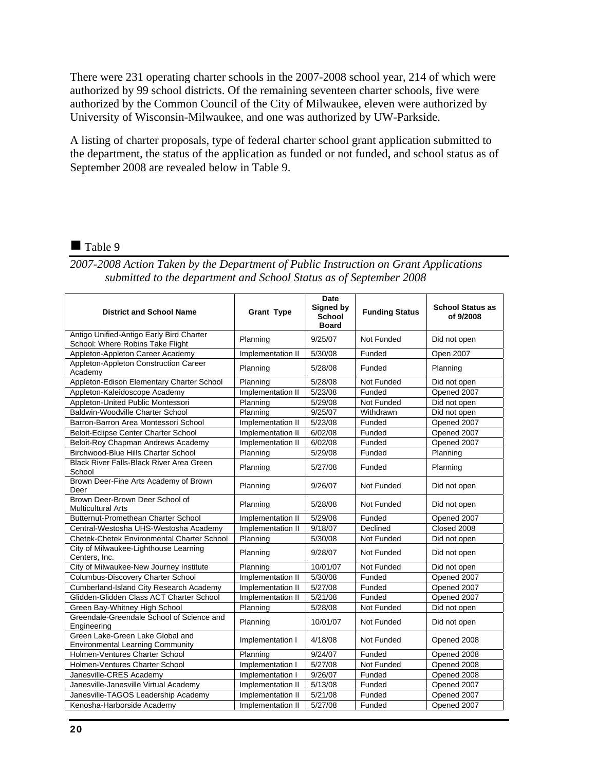There were 231 operating charter schools in the 2007-2008 school year, 214 of which were authorized by 99 school districts. Of the remaining seventeen charter schools, five were authorized by the Common Council of the City of Milwaukee, eleven were authorized by University of Wisconsin-Milwaukee, and one was authorized by UW-Parkside.

A listing of charter proposals, type of federal charter school grant application submitted to the department, the status of the application as funded or not funded, and school status as of September 2008 are revealed below in Table 9.

#### Table 9

*2007-2008 Action Taken by the Department of Public Instruction on Grant Applications submitted to the department and School Status as of September 2008* 

| <b>District and School Name</b>                                              | <b>Grant Type</b> | Date<br>Signed by<br><b>School</b><br><b>Board</b> | <b>Funding Status</b> | <b>School Status as</b><br>of 9/2008 |
|------------------------------------------------------------------------------|-------------------|----------------------------------------------------|-----------------------|--------------------------------------|
| Antigo Unified-Antigo Early Bird Charter<br>School: Where Robins Take Flight | Planning          | 9/25/07                                            | Not Funded            | Did not open                         |
| Appleton-Appleton Career Academy                                             | Implementation II | 5/30/08                                            | Funded                | Open 2007                            |
| Appleton-Appleton Construction Career<br>Academy                             | Planning          | 5/28/08                                            | Funded                | Planning                             |
| Appleton-Edison Elementary Charter School                                    | Planning          | 5/28/08                                            | Not Funded            | Did not open                         |
| Appleton-Kaleidoscope Academy                                                | Implementation II | 5/23/08                                            | Funded                | Opened 2007                          |
| Appleton-United Public Montessori                                            | Planning          | 5/29/08                                            | Not Funded            | Did not open                         |
| Baldwin-Woodville Charter School                                             | Planning          | 9/25/07                                            | Withdrawn             | Did not open                         |
| Barron-Barron Area Montessori School                                         | Implementation II | 5/23/08                                            | Funded                | Opened 2007                          |
| Beloit-Eclipse Center Charter School                                         | Implementation II | 6/02/08                                            | Funded                | Opened 2007                          |
| Beloit-Roy Chapman Andrews Academy                                           | Implementation II | 6/02/08                                            | Funded                | Opened 2007                          |
| Birchwood-Blue Hills Charter School                                          | Planning          | 5/29/08                                            | Funded                | Planning                             |
| <b>Black River Falls-Black River Area Green</b><br>School                    | Planning          | 5/27/08                                            | Funded                | Planning                             |
| Brown Deer-Fine Arts Academy of Brown<br>Deer                                | Planning          | 9/26/07                                            | Not Funded            | Did not open                         |
| Brown Deer-Brown Deer School of<br><b>Multicultural Arts</b>                 | Planning          | 5/28/08                                            | Not Funded            | Did not open                         |
| Butternut-Promethean Charter School                                          | Implementation II | 5/29/08                                            | Funded                | Opened 2007                          |
| Central-Westosha UHS-Westosha Academy                                        | Implementation II | 9/18/07                                            | Declined              | Closed 2008                          |
| <b>Chetek-Chetek Environmental Charter School</b>                            | Planning          | 5/30/08                                            | Not Funded            | Did not open                         |
| City of Milwaukee-Lighthouse Learning<br>Centers, Inc.                       | Planning          | 9/28/07                                            | Not Funded            | Did not open                         |
| City of Milwaukee-New Journey Institute                                      | Planning          | 10/01/07                                           | Not Funded            | Did not open                         |
| Columbus-Discovery Charter School                                            | Implementation II | 5/30/08                                            | Funded                | Opened 2007                          |
| Cumberland-Island City Research Academy                                      | Implementation II | 5/27/08                                            | Funded                | Opened 2007                          |
| Glidden-Glidden Class ACT Charter School                                     | Implementation II | 5/21/08                                            | Funded                | Opened 2007                          |
| Green Bay-Whitney High School                                                | Planning          | 5/28/08                                            | Not Funded            | Did not open                         |
| Greendale-Greendale School of Science and<br>Engineering                     | Planning          | 10/01/07                                           | Not Funded            | Did not open                         |
| Green Lake-Green Lake Global and<br><b>Environmental Learning Community</b>  | Implementation I  | 4/18/08                                            | Not Funded            | Opened 2008                          |
| Holmen-Ventures Charter School                                               | Planning          | 9/24/07                                            | Funded                | Opened 2008                          |
| Holmen-Ventures Charter School                                               | Implementation I  | 5/27/08                                            | Not Funded            | Opened 2008                          |
| Janesville-CRES Academy                                                      | Implementation I  | 9/26/07                                            | Funded                | Opened 2008                          |
| Janesville-Janesville Virtual Academy                                        | Implementation II | 5/13/08                                            | Funded                | Opened 2007                          |
| Janesville-TAGOS Leadership Academy                                          | Implementation II | 5/21/08                                            | Funded                | Opened 2007                          |
| Kenosha-Harborside Academy                                                   | Implementation II | 5/27/08                                            | Funded                | Opened 2007                          |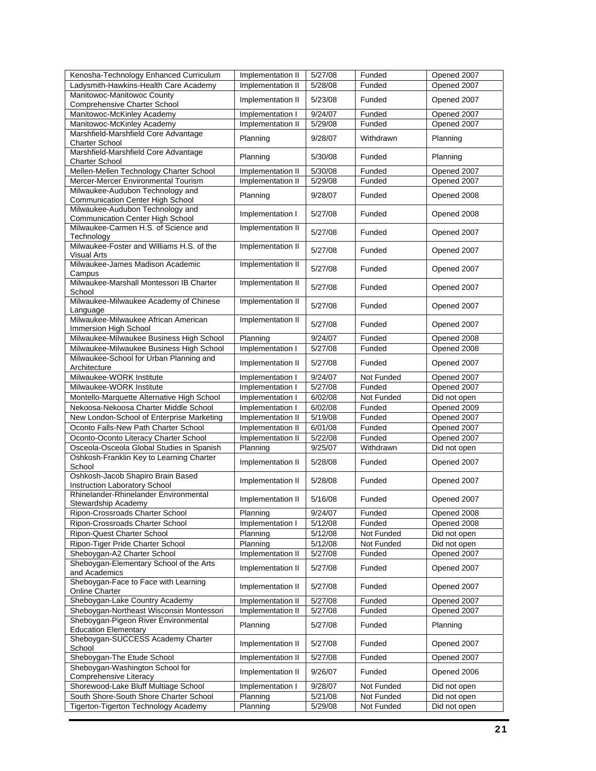| Kenosha-Technology Enhanced Curriculum                                      | Implementation II | 5/27/08 | Funded     | Opened 2007  |
|-----------------------------------------------------------------------------|-------------------|---------|------------|--------------|
| Ladysmith-Hawkins-Health Care Academy                                       | Implementation II | 5/28/08 | Funded     | Opened 2007  |
| Manitowoc-Manitowoc County<br>Comprehensive Charter School                  | Implementation II | 5/23/08 | Funded     | Opened 2007  |
| Manitowoc-McKinley Academy                                                  | Implementation I  | 9/24/07 | Funded     | Opened 2007  |
| Manitowoc-McKinley Academy                                                  | Implementation II | 5/29/08 | Funded     | Opened 2007  |
| Marshfield-Marshfield Core Advantage                                        |                   |         |            |              |
| <b>Charter School</b>                                                       | Planning          | 9/28/07 | Withdrawn  | Planning     |
| Marshfield-Marshfield Core Advantage<br><b>Charter School</b>               | Planning          | 5/30/08 | Funded     | Planning     |
| Mellen-Mellen Technology Charter School                                     | Implementation II | 5/30/08 | Funded     | Opened 2007  |
| Mercer-Mercer Environmental Tourism                                         | Implementation II | 5/29/08 | Funded     | Opened 2007  |
| Milwaukee-Audubon Technology and<br>Communication Center High School        | Planning          | 9/28/07 | Funded     | Opened 2008  |
| Milwaukee-Audubon Technology and<br><b>Communication Center High School</b> | Implementation I  | 5/27/08 | Funded     | Opened 2008  |
| Milwaukee-Carmen H.S. of Science and<br>Technology                          | Implementation II | 5/27/08 | Funded     | Opened 2007  |
| Milwaukee-Foster and Williams H.S. of the                                   | Implementation II | 5/27/08 | Funded     | Opened 2007  |
| Visual Arts<br>Milwaukee-James Madison Academic                             | Implementation II | 5/27/08 | Funded     | Opened 2007  |
| Campus<br>Milwaukee-Marshall Montessori IB Charter                          | Implementation II | 5/27/08 | Funded     | Opened 2007  |
| School<br>Milwaukee-Milwaukee Academy of Chinese                            | Implementation II | 5/27/08 | Funded     |              |
| Language<br>Milwaukee-Milwaukee African American                            | Implementation II |         |            | Opened 2007  |
| Immersion High School                                                       |                   | 5/27/08 | Funded     | Opened 2007  |
| Milwaukee-Milwaukee Business High School                                    | Planning          | 9/24/07 | Funded     | Opened 2008  |
| Milwaukee-Milwaukee Business High School                                    | Implementation I  | 5/27/08 | Funded     | Opened 2008  |
| Milwaukee-School for Urban Planning and<br>Architecture                     | Implementation II | 5/27/08 | Funded     | Opened 2007  |
| Milwaukee-WORK Institute                                                    | Implementation I  | 9/24/07 | Not Funded | Opened 2007  |
| Milwaukee-WORK Institute                                                    | Implementation I  | 5/27/08 | Funded     | Opened 2007  |
| Montello-Marquette Alternative High School                                  | Implementation I  | 6/02/08 | Not Funded | Did not open |
| Nekoosa-Nekoosa Charter Middle School                                       | Implementation I  | 6/02/08 | Funded     | Opened 2009  |
| New London-School of Enterprise Marketing                                   | Implementation II | 5/19/08 | Funded     | Opened 2007  |
| Oconto Falls-New Path Charter School                                        | Implementation II | 6/01/08 | Funded     | Opened 2007  |
| Oconto-Oconto Literacy Charter School                                       | Implementation II | 5/22/08 | Funded     | Opened 2007  |
| Osceola-Osceola Global Studies in Spanish                                   | Planning          | 9/25/07 | Withdrawn  | Did not open |
| Oshkosh-Franklin Key to Learning Charter<br>School                          | Implementation II | 5/28/08 | Funded     | Opened 2007  |
| Oshkosh-Jacob Shapiro Brain Based<br>Instruction Laboratory School          | Implementation II | 5/28/08 | Funded     | Opened 2007  |
| Rhinelander-Rhinelander Environmental<br>Stewardship Academy                | Implementation II | 5/16/08 | Funded     | Opened 2007  |
| Ripon-Crossroads Charter School                                             | Planning          | 9/24/07 | Funded     | Opened 2008  |
| Ripon-Crossroads Charter School                                             | Implementation I  | 5/12/08 | Funded     | Opened 2008  |
| Ripon-Quest Charter School                                                  | Planning          | 5/12/08 | Not Funded | Did not open |
| Ripon-Tiger Pride Charter School                                            | Planning          | 5/12/08 | Not Funded | Did not open |
| Sheboygan-A2 Charter School                                                 | Implementation II | 5/27/08 | Funded     | Opened 2007  |
| Sheboygan-Elementary School of the Arts<br>and Academics                    | Implementation II | 5/27/08 | Funded     | Opened 2007  |
| Sheboygan-Face to Face with Learning<br>Online Charter                      | Implementation II | 5/27/08 | Funded     | Opened 2007  |
| Sheboygan-Lake Country Academy                                              | Implementation II | 5/27/08 | Funded     | Opened 2007  |
| Sheboygan-Northeast Wisconsin Montessori                                    | Implementation II | 5/27/08 | Funded     | Opened 2007  |
| Sheboygan-Pigeon River Environmental<br><b>Education Elementary</b>         | Planning          | 5/27/08 | Funded     | Planning     |
| Sheboygan-SUCCESS Academy Charter<br>School                                 | Implementation II | 5/27/08 | Funded     | Opened 2007  |
| Sheboygan-The Etude School                                                  | Implementation II | 5/27/08 | Funded     | Opened 2007  |
| Sheboygan-Washington School for<br>Comprehensive Literacy                   | Implementation II | 9/26/07 | Funded     | Opened 2006  |
| Shorewood-Lake Bluff Multiage School                                        | Implementation I  | 9/28/07 | Not Funded | Did not open |
| South Shore-South Shore Charter School                                      | Planning          | 5/21/08 | Not Funded | Did not open |
| Tigerton-Tigerton Technology Academy                                        | Planning          | 5/29/08 | Not Funded | Did not open |
|                                                                             |                   |         |            |              |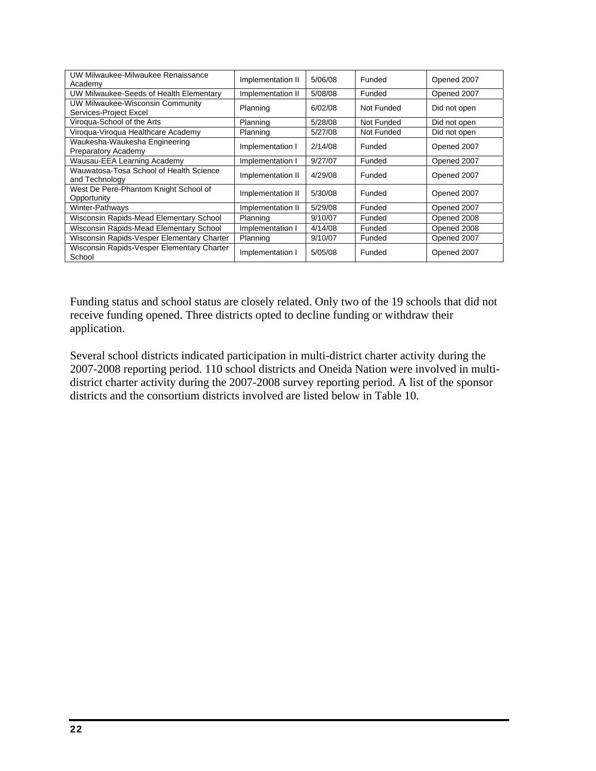| UW Milwaukee-Milwaukee Renaissance<br>Academy              | Implementation II | 5/06/08 | Funded     | Opened 2007  |
|------------------------------------------------------------|-------------------|---------|------------|--------------|
| UW Milwaukee-Seeds of Health Elementary                    | Implementation II | 5/08/08 | Funded     | Opened 2007  |
| UW Milwaukee-Wisconsin Community<br>Services-Project Excel | Planning          | 6/02/08 | Not Funded | Did not open |
| Viroqua-School of the Arts                                 | Planning          | 5/28/08 | Not Funded | Did not open |
| Viroqua-Viroqua Healthcare Academy                         | Planning          | 5/27/08 | Not Funded | Did not open |
| Waukesha-Waukesha Engineering<br>Preparatory Academy       | Implementation I  | 2/14/08 | Funded     | Opened 2007  |
| Wausau-EEA Learning Academy                                | Implementation I  | 9/27/07 | Funded     | Opened 2007  |
| Wauwatosa-Tosa School of Health Science<br>and Technology  | Implementation II | 4/29/08 | Funded     | Opened 2007  |
| West De Pere-Phantom Knight School of<br>Opportunity       | Implementation II | 5/30/08 | Funded     | Opened 2007  |
| Winter-Pathways                                            | Implementation II | 5/29/08 | Funded     | Opened 2007  |
| Wisconsin Rapids-Mead Elementary School                    | Planning          | 9/10/07 | Funded     | Opened 2008  |
| Wisconsin Rapids-Mead Elementary School                    | Implementation I  | 4/14/08 | Funded     | Opened 2008  |
| Wisconsin Rapids-Vesper Elementary Charter                 | Planning          | 9/10/07 | Funded     | Opened 2007  |
| Wisconsin Rapids-Vesper Elementary Charter<br>School       | Implementation I  | 5/05/08 | Funded     | Opened 2007  |

Funding status and school status are closely related. Only two of the 19 schools that did not receive funding opened. Three districts opted to decline funding or withdraw their application.

Several school districts indicated participation in multi-district charter activity during the 2007-2008 reporting period. 110 school districts and Oneida Nation were involved in multidistrict charter activity during the 2007-2008 survey reporting period. A list of the sponsor districts and the consortium districts involved are listed below in Table 10.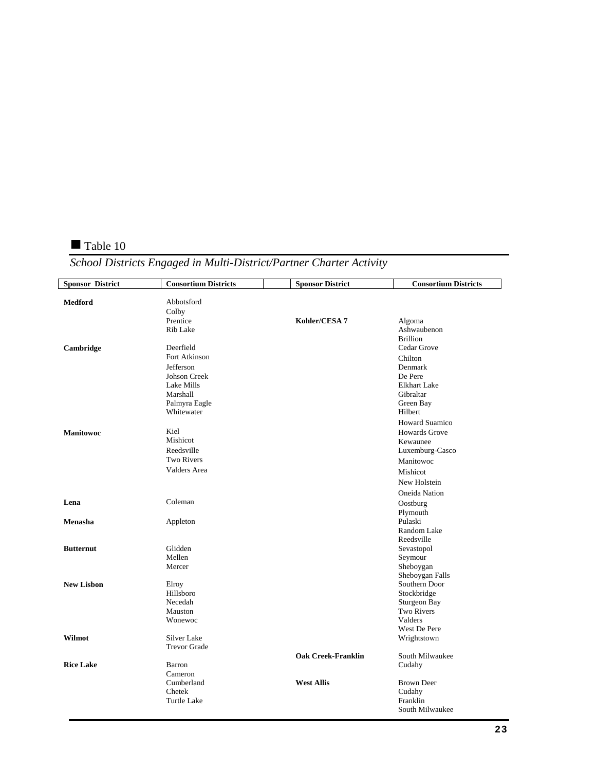#### Table 10

## *School Districts Engaged in Multi-District/Partner Charter Activity*

| <b>Sponsor District</b> | <b>Consortium Districts</b> | <b>Sponsor District</b>   | <b>Consortium Districts</b> |
|-------------------------|-----------------------------|---------------------------|-----------------------------|
| <b>Medford</b>          | Abbotsford                  |                           |                             |
|                         | Colby                       |                           |                             |
|                         | Prentice                    | Kohler/CESA 7             | Algoma                      |
|                         | Rib Lake                    |                           | Ashwaubenon                 |
|                         |                             |                           | <b>Brillion</b>             |
| Cambridge               | Deerfield                   |                           | Cedar Grove                 |
|                         | Fort Atkinson               |                           | Chilton                     |
|                         | Jefferson                   |                           | Denmark                     |
|                         | <b>Johson Creek</b>         |                           | De Pere                     |
|                         | Lake Mills                  |                           | <b>Elkhart Lake</b>         |
|                         | Marshall                    |                           | Gibraltar                   |
|                         | Palmyra Eagle               |                           | Green Bay                   |
|                         | Whitewater                  |                           | Hilbert                     |
|                         |                             |                           | <b>Howard Suamico</b>       |
| <b>Manitowoc</b>        | Kiel                        |                           | <b>Howards Grove</b>        |
|                         | Mishicot                    |                           | Kewaunee                    |
|                         | Reedsville                  |                           | Luxemburg-Casco             |
|                         | <b>Two Rivers</b>           |                           | Manitowoc                   |
|                         | Valders Area                |                           | Mishicot                    |
|                         |                             |                           | New Holstein                |
|                         |                             |                           |                             |
| Lena                    | Coleman                     |                           | Oneida Nation               |
|                         |                             |                           | Oostburg                    |
|                         |                             |                           | Plymouth                    |
| Menasha                 | Appleton                    |                           | Pulaski<br>Random Lake      |
|                         |                             |                           | Reedsville                  |
| <b>Butternut</b>        | Glidden                     |                           | Sevastopol                  |
|                         | Mellen                      |                           | Seymour                     |
|                         | Mercer                      |                           | Sheboygan                   |
|                         |                             |                           | Sheboygan Falls             |
| <b>New Lisbon</b>       | Elroy                       |                           | Southern Door               |
|                         | Hillsboro                   |                           | Stockbridge                 |
|                         | Necedah                     |                           | Sturgeon Bay                |
|                         | Mauston                     |                           | <b>Two Rivers</b>           |
|                         | Wonewoc                     |                           | Valders                     |
|                         |                             |                           | West De Pere                |
| Wilmot                  | Silver Lake                 |                           | Wrightstown                 |
|                         | <b>Trevor Grade</b>         |                           |                             |
|                         |                             | <b>Oak Creek-Franklin</b> | South Milwaukee             |
| <b>Rice Lake</b>        | Barron                      |                           | Cudahy                      |
|                         | Cameron                     |                           |                             |
|                         | Cumberland                  | <b>West Allis</b>         | <b>Brown Deer</b>           |
|                         | Chetek                      |                           | Cudahy                      |
|                         | Turtle Lake                 |                           | Franklin                    |
|                         |                             |                           | South Milwaukee             |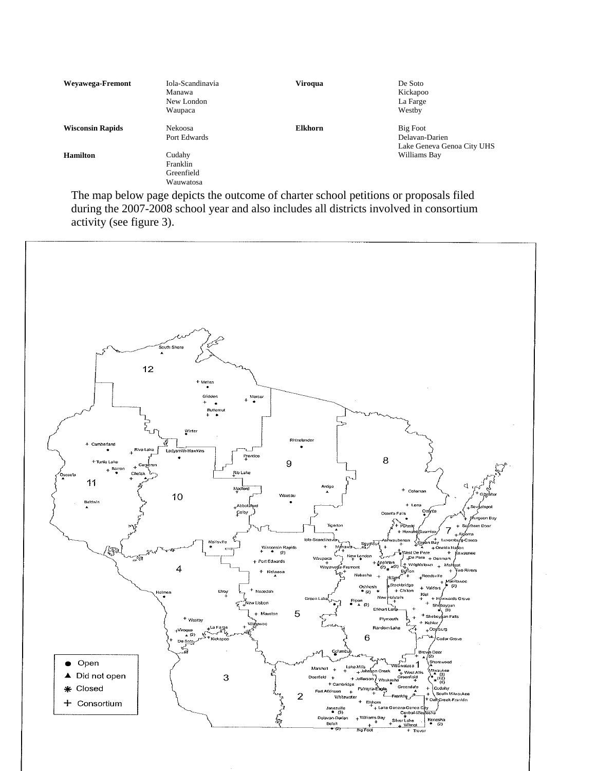| Weyawega-Fremont        | Iola-Scandinavia<br>Manawa<br>New London<br>Waupaca | <b>Viroqua</b> | De Soto<br>Kickapoo<br>La Farge<br>Westby                |
|-------------------------|-----------------------------------------------------|----------------|----------------------------------------------------------|
| <b>Wisconsin Rapids</b> | Nekoosa<br>Port Edwards                             | <b>Elkhorn</b> | Big Foot<br>Delavan-Darien<br>Lake Geneva Genoa City UHS |
| <b>Hamilton</b>         | Cudahy<br>Franklin<br>Greenfield<br>Wauwatosa       |                | Williams Bay                                             |

 The map below page depicts the outcome of charter school petitions or proposals filed during the 2007-2008 school year and also includes all districts involved in consortium activity (see figure 3).

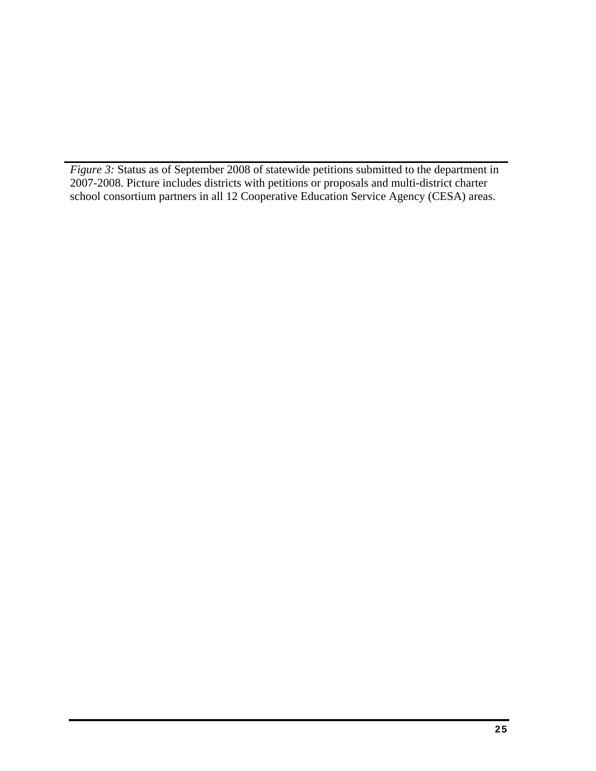*Figure 3:* Status as of September 2008 of statewide petitions submitted to the department in 2007-2008. Picture includes districts with petitions or proposals and multi-district charter school consortium partners in all 12 Cooperative Education Service Agency (CESA) areas.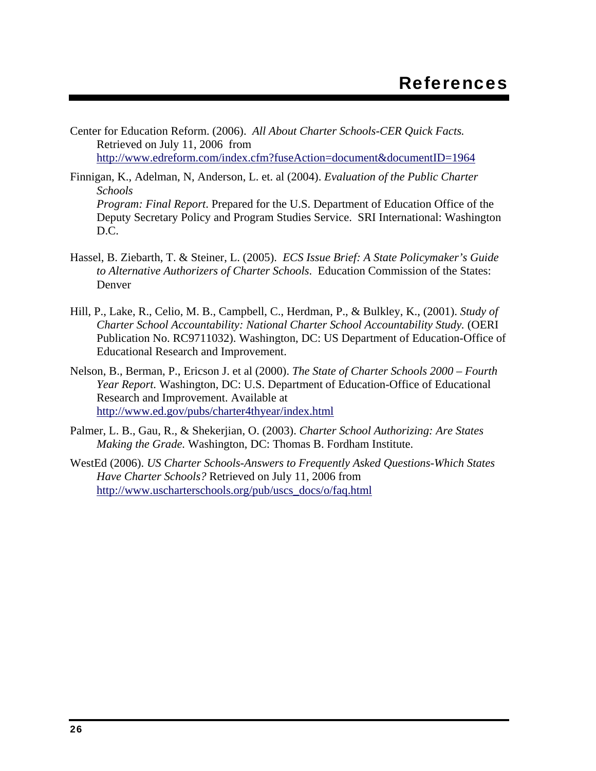- Center for Education Reform. (2006). *All About Charter Schools-CER Quick Facts.* Retrieved on July 11, 2006 from http://www.edreform.com/index.cfm?fuseAction=document&documentID=1964
- Finnigan, K., Adelman, N, Anderson, L. et. al (2004). *Evaluation of the Public Charter Schools Program: Final Report*. Prepared for the U.S. Department of Education Office of the Deputy Secretary Policy and Program Studies Service. SRI International: Washington D.C.
- Hassel, B. Ziebarth, T. & Steiner, L. (2005). *ECS Issue Brief: A State Policymaker's Guide to Alternative Authorizers of Charter Schools*. Education Commission of the States: Denver
- Hill, P., Lake, R., Celio, M. B., Campbell, C., Herdman, P., & Bulkley, K., (2001). *Study of Charter School Accountability: National Charter School Accountability Study.* (OERI Publication No. RC9711032). Washington, DC: US Department of Education-Office of Educational Research and Improvement.
- Nelson, B., Berman, P., Ericson J. et al (2000). *The State of Charter Schools 2000 Fourth Year Report.* Washington, DC: U.S. Department of Education-Office of Educational Research and Improvement. Available at http://www.ed.gov/pubs/charter4thyear/index.html
- Palmer, L. B., Gau, R., & Shekerjian, O. (2003). *Charter School Authorizing: Are States Making the Grade.* Washington, DC: Thomas B. Fordham Institute.
- WestEd (2006). *US Charter Schools-Answers to Frequently Asked Questions-Which States Have Charter Schools?* Retrieved on July 11, 2006 from http://www.uscharterschools.org/pub/uscs\_docs/o/faq.html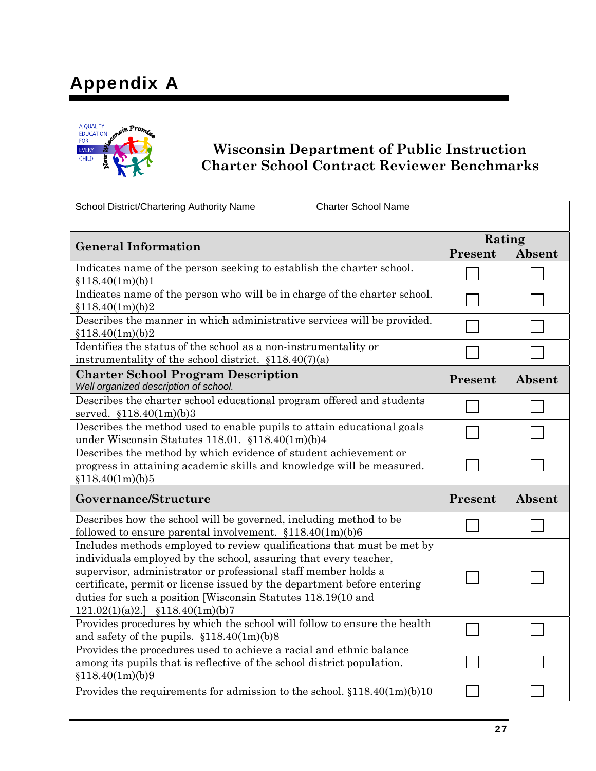## Appendix A



## **Wisconsin Department of Public Instruction Charter School Contract Reviewer Benchmarks**

| School District/Chartering Authority Name                                                                                                                                                                                                                                                                                                                                                       | <b>Charter School Name</b> |         |        |
|-------------------------------------------------------------------------------------------------------------------------------------------------------------------------------------------------------------------------------------------------------------------------------------------------------------------------------------------------------------------------------------------------|----------------------------|---------|--------|
|                                                                                                                                                                                                                                                                                                                                                                                                 |                            |         |        |
| <b>General Information</b>                                                                                                                                                                                                                                                                                                                                                                      |                            | Rating  |        |
|                                                                                                                                                                                                                                                                                                                                                                                                 |                            | Present | Absent |
| Indicates name of the person seeking to establish the charter school.<br>\$118.40(1m)(b)1                                                                                                                                                                                                                                                                                                       |                            |         |        |
| Indicates name of the person who will be in charge of the charter school.<br>\$118.40(1m)(b)2                                                                                                                                                                                                                                                                                                   |                            |         |        |
| Describes the manner in which administrative services will be provided.<br>\$118.40(1m)(b)2                                                                                                                                                                                                                                                                                                     |                            |         |        |
| Identifies the status of the school as a non-instrumentality or<br>instrumentality of the school district. $$118.40(7)(a)$                                                                                                                                                                                                                                                                      |                            |         |        |
| <b>Charter School Program Description</b><br>Well organized description of school.                                                                                                                                                                                                                                                                                                              |                            | Present | Absent |
| Describes the charter school educational program offered and students<br>served. $$118.40(1m)(b)3$                                                                                                                                                                                                                                                                                              |                            |         |        |
| Describes the method used to enable pupils to attain educational goals<br>under Wisconsin Statutes 118.01. $$118.40(1m)(b)4$                                                                                                                                                                                                                                                                    |                            |         |        |
| Describes the method by which evidence of student achievement or<br>progress in attaining academic skills and knowledge will be measured.<br>\$118.40(1m)(b)5                                                                                                                                                                                                                                   |                            |         |        |
| Governance/Structure                                                                                                                                                                                                                                                                                                                                                                            |                            | Present | Absent |
| Describes how the school will be governed, including method to be<br>followed to ensure parental involvement. $$118.40(1m)(b)6$                                                                                                                                                                                                                                                                 |                            |         |        |
| Includes methods employed to review qualifications that must be met by<br>individuals employed by the school, assuring that every teacher,<br>supervisor, administrator or professional staff member holds a<br>certificate, permit or license issued by the department before entering<br>duties for such a position [Wisconsin Statutes 118.19(10 and<br>$121.02(1)(a)2.$ ] $$118.40(1m)(b)7$ |                            |         |        |
| Provides procedures by which the school will follow to ensure the health<br>and safety of the pupils. $$118.40(1m)(b)8$                                                                                                                                                                                                                                                                         |                            |         |        |
| Provides the procedures used to achieve a racial and ethnic balance<br>among its pupils that is reflective of the school district population.<br>\$118.40(1m)(b)9                                                                                                                                                                                                                               |                            |         |        |
| Provides the requirements for admission to the school. $$118.40(1m)(b)10$                                                                                                                                                                                                                                                                                                                       |                            |         |        |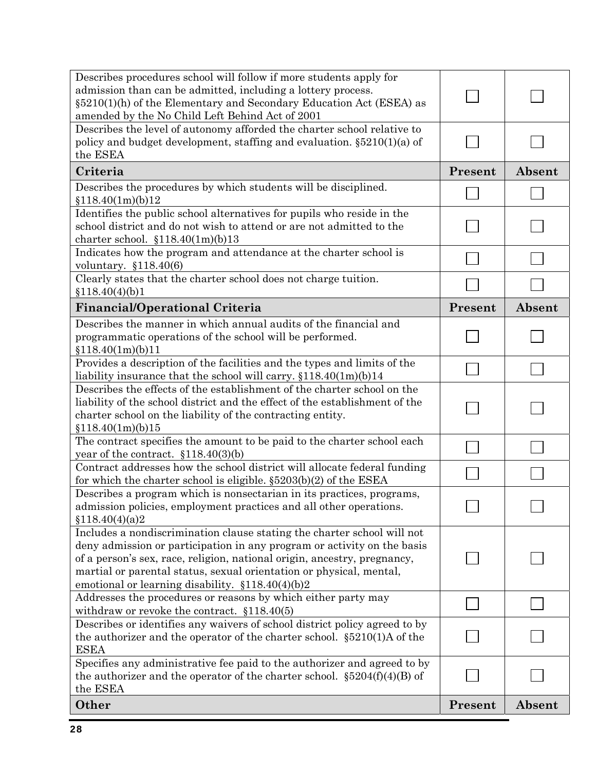| Describes procedures school will follow if more students apply for<br>admission than can be admitted, including a lottery process.<br>§5210(1)(h) of the Elementary and Secondary Education Act (ESEA) as<br>amended by the No Child Left Behind Act of 2001                                                                                              |         |        |
|-----------------------------------------------------------------------------------------------------------------------------------------------------------------------------------------------------------------------------------------------------------------------------------------------------------------------------------------------------------|---------|--------|
| Describes the level of autonomy afforded the charter school relative to<br>policy and budget development, staffing and evaluation. $\S5210(1)(a)$ of<br>the ESEA                                                                                                                                                                                          |         |        |
| Criteria                                                                                                                                                                                                                                                                                                                                                  | Present | Absent |
| Describes the procedures by which students will be disciplined.<br>\$118.40(1m)(b)12                                                                                                                                                                                                                                                                      |         |        |
| Identifies the public school alternatives for pupils who reside in the<br>school district and do not wish to attend or are not admitted to the<br>charter school. $$118.40(1m)(b)13$                                                                                                                                                                      |         |        |
| Indicates how the program and attendance at the charter school is<br>voluntary. $$118.40(6)$                                                                                                                                                                                                                                                              |         |        |
| Clearly states that the charter school does not charge tuition.                                                                                                                                                                                                                                                                                           |         |        |
| \$118.40(4)(b)1<br><b>Financial/Operational Criteria</b>                                                                                                                                                                                                                                                                                                  | Present | Absent |
| Describes the manner in which annual audits of the financial and                                                                                                                                                                                                                                                                                          |         |        |
| programmatic operations of the school will be performed.<br>\$118.40(1m)(b)11                                                                                                                                                                                                                                                                             |         |        |
| Provides a description of the facilities and the types and limits of the                                                                                                                                                                                                                                                                                  |         |        |
| liability insurance that the school will carry. $$118.40(1m)(b)14$<br>Describes the effects of the establishment of the charter school on the                                                                                                                                                                                                             |         |        |
| liability of the school district and the effect of the establishment of the<br>charter school on the liability of the contracting entity.<br>\$118.40(1m)(b)15                                                                                                                                                                                            |         |        |
| The contract specifies the amount to be paid to the charter school each<br>year of the contract. $$118.40(3)(b)$                                                                                                                                                                                                                                          |         |        |
| Contract addresses how the school district will allocate federal funding<br>for which the charter school is eligible. $\S5203(b)(2)$ of the ESEA                                                                                                                                                                                                          |         |        |
| Describes a program which is nonsectarian in its practices, programs,<br>admission policies, employment practices and all other operations.<br>\$118.40(4)(a)2                                                                                                                                                                                            |         |        |
| Includes a nondiscrimination clause stating the charter school will not<br>deny admission or participation in any program or activity on the basis<br>of a person's sex, race, religion, national origin, ancestry, pregnancy,<br>martial or parental status, sexual orientation or physical, mental,<br>emotional or learning disability. §118.40(4)(b)2 |         |        |
| Addresses the procedures or reasons by which either party may                                                                                                                                                                                                                                                                                             |         |        |
| withdraw or revoke the contract. $$118.40(5)$<br>Describes or identifies any waivers of school district policy agreed to by<br>the authorizer and the operator of the charter school. $\S5210(1)$ A of the                                                                                                                                                |         |        |
| <b>ESEA</b>                                                                                                                                                                                                                                                                                                                                               |         |        |
| Specifies any administrative fee paid to the authorizer and agreed to by<br>the authorizer and the operator of the charter school. $\S 5204(f)(4)(B)$ of<br>the ESEA                                                                                                                                                                                      |         |        |
| Other                                                                                                                                                                                                                                                                                                                                                     | Present | Absent |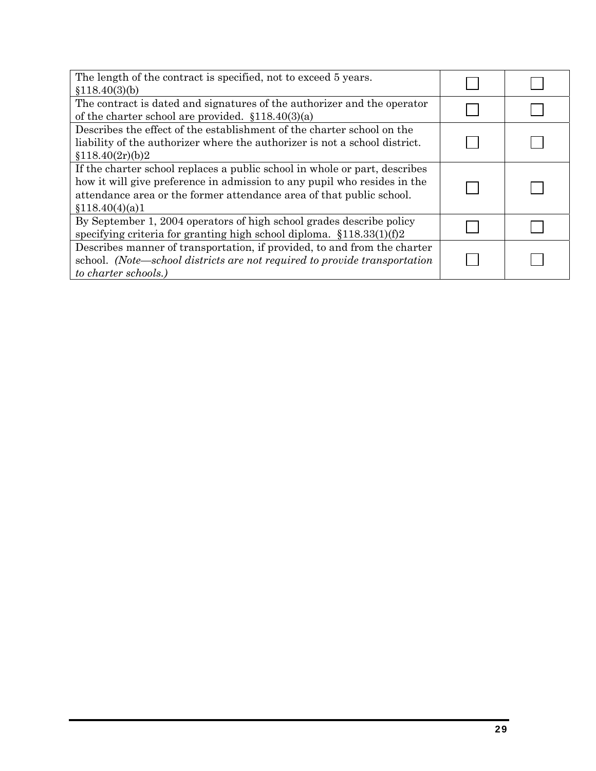| The length of the contract is specified, not to exceed 5 years.<br>\$118.40(3)(b)                                                                                                                                                                 |  |
|---------------------------------------------------------------------------------------------------------------------------------------------------------------------------------------------------------------------------------------------------|--|
| The contract is dated and signatures of the authorizer and the operator<br>of the charter school are provided. $$118.40(3)(a)$                                                                                                                    |  |
| Describes the effect of the establishment of the charter school on the<br>liability of the authorizer where the authorizer is not a school district.<br>\$118.40(2r)(b)2                                                                          |  |
| If the charter school replaces a public school in whole or part, describes<br>how it will give preference in admission to any pupil who resides in the<br>attendance area or the former attendance area of that public school.<br>\$118.40(4)(a)1 |  |
| By September 1, 2004 operators of high school grades describe policy<br>specifying criteria for granting high school diploma. $$118.33(1)(f)2$                                                                                                    |  |
| Describes manner of transportation, if provided, to and from the charter<br>school. (Note—school districts are not required to provide transportation<br>to charter schools.)                                                                     |  |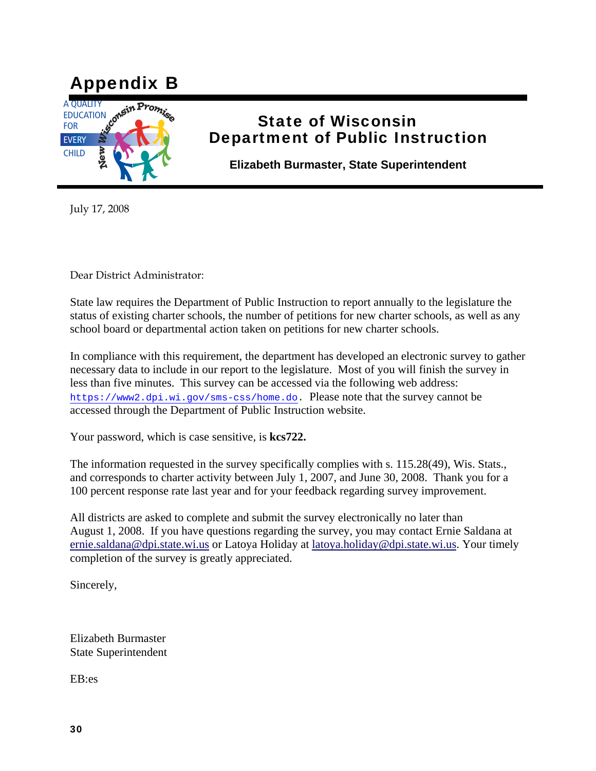

## State of Wisconsin Department of Public Instruction

**Elizabeth Burmaster, State Superintendent** 

July 17, 2008

Dear District Administrator:

State law requires the Department of Public Instruction to report annually to the legislature the status of existing charter schools, the number of petitions for new charter schools, as well as any school board or departmental action taken on petitions for new charter schools.

In compliance with this requirement, the department has developed an electronic survey to gather necessary data to include in our report to the legislature. Most of you will finish the survey in less than five minutes. This survey can be accessed via the following web address: https://www2.dpi.wi.gov/sms-css/home.do. Please note that the survey cannot be accessed through the Department of Public Instruction website.

Your password, which is case sensitive, is **kcs722.**

The information requested in the survey specifically complies with s. 115.28(49), Wis. Stats., and corresponds to charter activity between July 1, 2007, and June 30, 2008. Thank you for a 100 percent response rate last year and for your feedback regarding survey improvement.

All districts are asked to complete and submit the survey electronically no later than August 1, 2008. If you have questions regarding the survey, you may contact Ernie Saldana at ernie.saldana@dpi.state.wi.us or Latoya Holiday at latoya.holiday@dpi.state.wi.us. Your timely completion of the survey is greatly appreciated.

Sincerely,

Elizabeth Burmaster State Superintendent

EB:es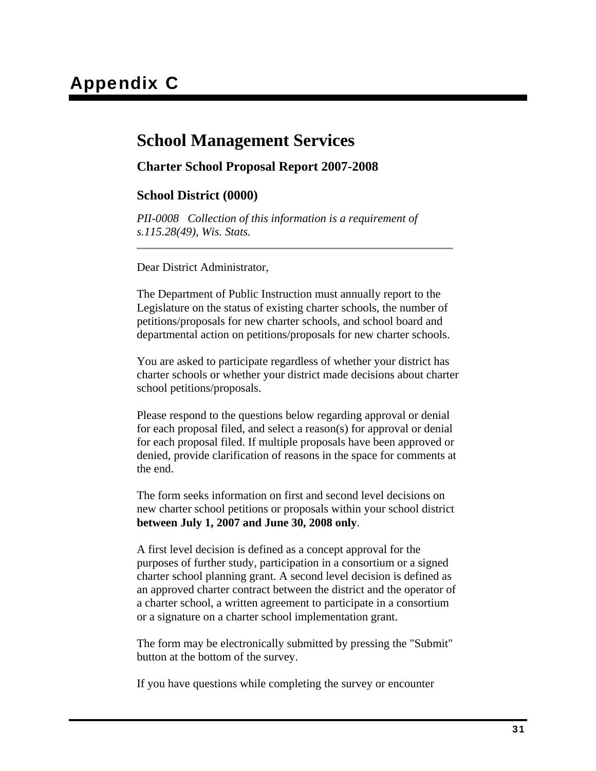### **School Management Services**

#### **Charter School Proposal Report 2007-2008**

#### **School District (0000)**

*PII-0008 Collection of this information is a requirement of s.115.28(49), Wis. Stats.*

Dear District Administrator,

The Department of Public Instruction must annually report to the Legislature on the status of existing charter schools, the number of petitions/proposals for new charter schools, and school board and departmental action on petitions/proposals for new charter schools.

You are asked to participate regardless of whether your district has charter schools or whether your district made decisions about charter school petitions/proposals.

Please respond to the questions below regarding approval or denial for each proposal filed, and select a reason(s) for approval or denial for each proposal filed. If multiple proposals have been approved or denied, provide clarification of reasons in the space for comments at the end.

The form seeks information on first and second level decisions on new charter school petitions or proposals within your school district **between July 1, 2007 and June 30, 2008 only**.

A first level decision is defined as a concept approval for the purposes of further study, participation in a consortium or a signed charter school planning grant. A second level decision is defined as an approved charter contract between the district and the operator of a charter school, a written agreement to participate in a consortium or a signature on a charter school implementation grant.

The form may be electronically submitted by pressing the "Submit" button at the bottom of the survey.

If you have questions while completing the survey or encounter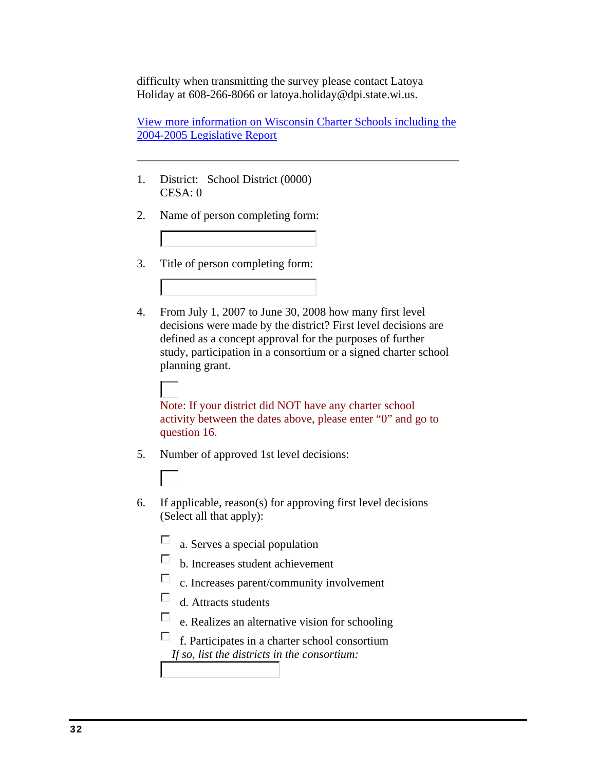difficulty when transmitting the survey please contact Latoya Holiday at 608-266-8066 or latoya.holiday@dpi.state.wi.us.

View more information on Wisconsin Charter Schools including the 2004-2005 Legislative Report

- 1. District: School District (0000) CESA: 0
- 2. Name of person completing form:
- 3. Title of person completing form:
- 4. From July 1, 2007 to June 30, 2008 how many first level decisions were made by the district? First level decisions are defined as a concept approval for the purposes of further study, participation in a consortium or a signed charter school planning grant.

Note: If your district did NOT have any charter school activity between the dates above, please enter "0" and go to question 16.

- 5. Number of approved 1st level decisions:
	-
- 6. If applicable, reason(s) for approving first level decisions (Select all that apply):
	- $\Box$ a. Serves a special population
	- П b. Increases student achievement
	- П c. Increases parent/community involvement
	- П d. Attracts students
	- $\Box$ e. Realizes an alternative vision for schooling
	- П f. Participates in a charter school consortium *If so, list the districts in the consortium:*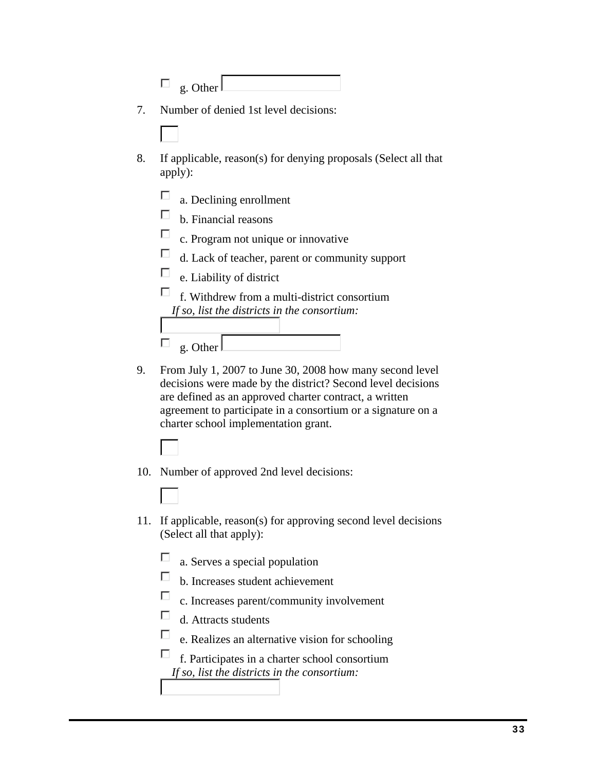|    | g. Other                                                                                                                                                                                                                                                                                                                                                                                                                                                                                                                                                                                                                                         |
|----|--------------------------------------------------------------------------------------------------------------------------------------------------------------------------------------------------------------------------------------------------------------------------------------------------------------------------------------------------------------------------------------------------------------------------------------------------------------------------------------------------------------------------------------------------------------------------------------------------------------------------------------------------|
| 7. | Number of denied 1st level decisions:                                                                                                                                                                                                                                                                                                                                                                                                                                                                                                                                                                                                            |
|    |                                                                                                                                                                                                                                                                                                                                                                                                                                                                                                                                                                                                                                                  |
| 8. | If applicable, reason(s) for denying proposals (Select all that<br>apply):                                                                                                                                                                                                                                                                                                                                                                                                                                                                                                                                                                       |
|    | a. Declining enrollment<br>b. Financial reasons<br>c. Program not unique or innovative<br>d. Lack of teacher, parent or community support<br>e. Liability of district                                                                                                                                                                                                                                                                                                                                                                                                                                                                            |
|    | f. Withdrew from a multi-district consortium<br>If so, list the districts in the consortium:<br>g. Other                                                                                                                                                                                                                                                                                                                                                                                                                                                                                                                                         |
| 9. | From July 1, 2007 to June 30, 2008 how many second level<br>decisions were made by the district? Second level decisions<br>are defined as an approved charter contract, a written<br>$\mathcal{L}(\mathcal{L}(\mathcal{L}(\mathcal{L}(\mathcal{L}(\mathcal{L}(\mathcal{L}(\mathcal{L}(\mathcal{L}(\mathcal{L}(\mathcal{L}(\mathcal{L}(\mathcal{L}(\mathcal{L}(\mathcal{L}(\mathcal{L}(\mathcal{L}(\mathcal{L}(\mathcal{L}(\mathcal{L}(\mathcal{L}(\mathcal{L}(\mathcal{L}(\mathcal{L}(\mathcal{L}(\mathcal{L}(\mathcal{L}(\mathcal{L}(\mathcal{L}(\mathcal{L}(\mathcal{L}(\mathcal{L}(\mathcal{L}(\mathcal{L}(\mathcal{L}(\mathcal{L}(\mathcal{$ |

agreement to participate in a consortium or a signature on a charter school implementation grant.

- 10. Number of approved 2nd level decisions:
- 11. If applicable, reason(s) for approving second level decisions (Select all that apply):
	- $\Box$ a. Serves a special population
	- $\Box$ b. Increases student achievement
	- $\Box$ c. Increases parent/community involvement
	- $\Box$ d. Attracts students
	- $\Box$ e. Realizes an alternative vision for schooling

 $\Box$ f. Participates in a charter school consortium *If so, list the districts in the consortium:*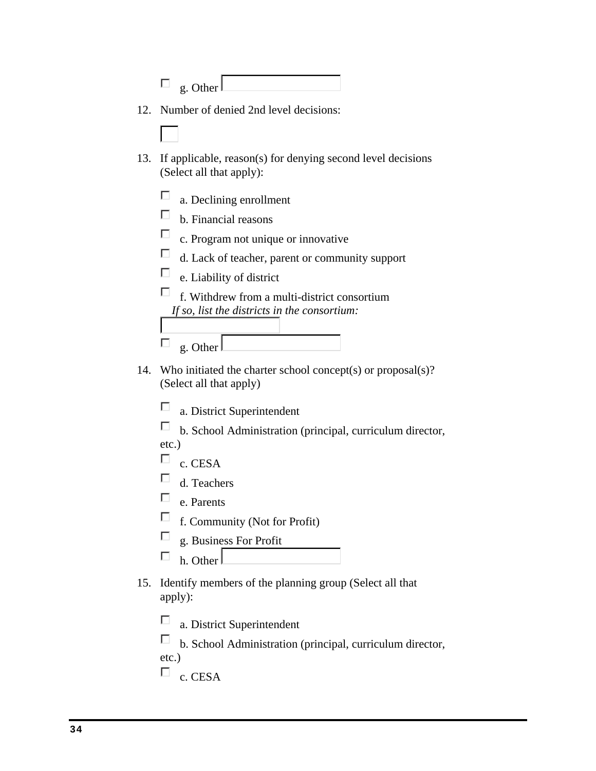|     | g. Other                                                                                                                                                                                                                                                                                                              |
|-----|-----------------------------------------------------------------------------------------------------------------------------------------------------------------------------------------------------------------------------------------------------------------------------------------------------------------------|
| 12. | Number of denied 2nd level decisions:                                                                                                                                                                                                                                                                                 |
|     |                                                                                                                                                                                                                                                                                                                       |
| 13. | If applicable, reason(s) for denying second level decisions<br>(Select all that apply):                                                                                                                                                                                                                               |
|     | a. Declining enrollment<br>П<br>b. Financial reasons<br>п<br>c. Program not unique or innovative<br>п<br>d. Lack of teacher, parent or community support<br>Ш<br>e. Liability of district<br>f. Withdrew from a multi-district consortium<br>If so, list the districts in the consortium:<br>g. Other                 |
| 14. | Who initiated the charter school concept(s) or proposal $(s)$ ?<br>(Select all that apply)<br>a. District Superintendent<br>b. School Administration (principal, curriculum director,<br>$etc.$ )<br>c. CESA<br>d. Teachers<br>e. Parents<br>f. Community (Not for Profit)<br>g. Business For Profit<br>⊏<br>h. Other |
| 15. | Identify members of the planning group (Select all that<br>apply):<br>a. District Superintendent                                                                                                                                                                                                                      |

 $\Box$  b. School Administration (principal, curriculum director,

etc.)

 $\overline{\Box}$  c. CESA